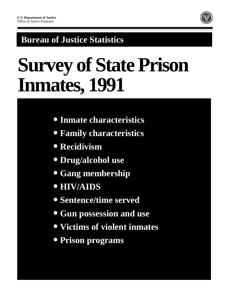

## **Bureau of Justice Statistics**

# **Survey of State Prison Inmates, 1991**

- **Inmate characteristics**
- **Family characteristics**
- **Recidivism**
- **Drug/alcohol use**
- **Gang membership**
- **HIV/AIDS**
- **Sentence/time served**
- **Gun possession and use**
- **Victims of violent inmates**
- **Prison programs**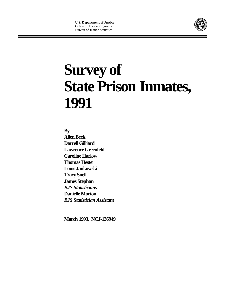

## **Survey of State Prison Inmates, 1991**

**By** 

**Allen Beck Darrell Gilliard Lawrence Greenfeld Caroline Harlow Thomas Hester Louis Jankowski Tracy Snell James Stephan** *BJS Statisticians* **Danielle Morton** *BJS Statistician Assistant*

**March 1993, NCJ-136949**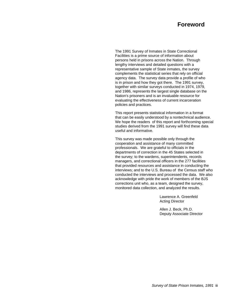### **Foreword**

The 1991 Survey of Inmates in State Correctional Facilities is a prime source of information about persons held in prisons across the Nation. Through lengthy interviews and detailed questions with a representative sample of State inmates, the survey complements the statistical series that rely on official agency data. The survey data provide a profile of who is in prison and how they got there. The 1991 survey, together with similar surveys conducted in 1974, 1979, and 1986, represents the largest single database on the Nation's prisoners and is an invaluable resource for evaluating the effectiveness of current incarceration policies and practices.

This report presents statistical information in a format that can be easily understood by a nontechnical audience. We hope the readers of this report and forthcoming special studies derived from the 1991 survey will find these data useful and informative.

This survey was made possible only through the cooperation and assistance of many committed professionals. We are grateful to officials in the departments of correction in the 45 States selected in the survey; to the wardens, superintendents, records managers, and correctional officers in the 277 facilities that provided resources and assistance in conducting the interviews; and to the U.S. Bureau of the Census staff who conducted the interviews and processed the data. We also acknowledge with pride the work of members of the BJS corrections unit who, as a team, designed the survey, monitored data collection, and analyzed the results.

> Lawrence A. Greenfeld Acting Director

Allen J. Beck, Ph.D. Deputy Associate Director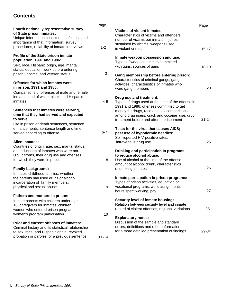## **Contents**

|                                                                                             | Page      |                                                   | Page      |
|---------------------------------------------------------------------------------------------|-----------|---------------------------------------------------|-----------|
| Fourth nationally representative survey                                                     |           | <b>Victims of violent Inmates:</b>                |           |
| of State prison inmates:                                                                    |           | Characteristics of victims and offenders,         |           |
| Unique information collected, usefulness and                                                |           | number of victims per inmate, injuries            |           |
| importance of that information, survey                                                      |           | sustained by victims, weapons used                |           |
| procedures, reliability of inmate interviews                                                | $1 - 2$   | in violent crimes                                 | $15 - 17$ |
| <b>Profile of the State prison inmate</b>                                                   |           | Inmate weapon possession and use:                 |           |
| population, 1991 and 1986:                                                                  |           | Types of weapons, crimes committed                |           |
| Sex, race, Hispanic origin, age, marital                                                    |           | with guns, sources of guns                        | 18-19     |
| status, education, work before entering                                                     |           |                                                   |           |
| prison, income, and veteran status                                                          | 3         | Gang membership before entering prison:           |           |
|                                                                                             |           | Characteristics of criminal gangs, gang           |           |
| Offenses for which inmates were                                                             |           | activities, characteristics of inmates who        |           |
| in prison, 1991 and 1986:                                                                   |           | were gang members                                 | 20        |
| Comparisons of offenses of male and female                                                  |           |                                                   |           |
| inmates, and of white, black, and Hispanic                                                  |           | Drug use and treatment:                           |           |
| inmates                                                                                     | $4 - 5$   | Types of drugs used at the time of the offense in |           |
|                                                                                             |           | 1991 and 1986, offenses committed to get          |           |
| Sentences that inmates were serving,                                                        |           | money for drugs, race and sex comparisons         |           |
| time that they had served and expected                                                      |           | among drug users, crack and cocaine use, drug     |           |
| to serve                                                                                    |           | treatment before and after imprisonment           | $21 - 24$ |
| Life in prison or death sentences, sentence                                                 |           |                                                   |           |
| enhancements, sentence length and time                                                      |           | Tests for the virus that causes AIDS;             |           |
| served according to offense                                                                 | $6 - 7$   | past use of hypodermic needles:                   |           |
|                                                                                             |           | Self-reported HIV-positive rates,                 |           |
| Alien inmates:                                                                              |           | intravenous drug use                              | 25        |
| Countries of origin, age, sex, marital status,                                              |           |                                                   |           |
| and education of inmates who were not                                                       |           | Drinking and participation In programs            |           |
| U.S. citizens, their drug use and offenses                                                  |           | to reduce alcohol abuse:                          |           |
| for which they were in prison                                                               | 8         | Use of alcohol at the time of the offense,        |           |
|                                                                                             |           | amount of alcohol drunk, characteristics          | 26        |
| <b>Family background:</b>                                                                   |           | of drinking inmates                               |           |
| Inmates' childhood families, whether                                                        |           |                                                   |           |
| the parents had used drugs or alcohol,                                                      |           | Inmate participation in prison programs:          |           |
| incarceration of family members,                                                            |           | Types of prison activities, education or          |           |
| physical and sexual abuse                                                                   | 9         | vocational programs, work assignments,            | 27        |
| Fathers and mothers in prison:                                                              |           | hours spent working, pay                          |           |
|                                                                                             |           | Security level of inmate housing:                 |           |
| Inmate parents with children under age                                                      |           | Relation between security level and inmate        |           |
| 18, caregivers for inmates' children,                                                       |           | record of violent offenses, regional variations   | 28        |
| women who entered prison pregnant,                                                          |           |                                                   |           |
| women's program participation                                                               | 10        | <b>Explanatory notes:</b>                         |           |
|                                                                                             |           | Discussion of the sample and standard             |           |
| Prior and current offenses of inmates:<br>Criminal history and its statistical relationship |           | errors, definitions and other information         |           |
| to sex, race, and Hispanic origin; revoked                                                  |           | for a more detailed presentation of findings      | 29-34     |
| probation or paroles for a previous sentence                                                |           |                                                   |           |
|                                                                                             | $11 - 14$ |                                                   |           |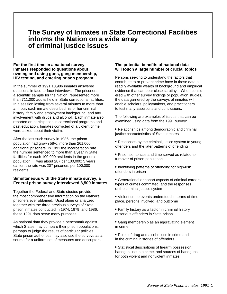## **The Survey of Inmates in State Correctional Facilities informs the Nation on a wide array of criminal justice issues**

#### **For the first time in a national survey, Inmates responded to questions about owning and using guns, gang membership, HIV testing, and entering prison pregnant**

In the summer of 1991,13,986 inmates answered questions in face-to-face interviews. The prisoners, a scientific sample for the Nation, represented more than 711,000 adults held in State correctional facilities. In a session lasting from several minutes to more than an hour, each inmate described his or her criminal history, family and employment background, and any involvement with drugs and alcohol. Each inmate also reported on participation in correctional programs and past education. Inmates convicted of a violent crime were asked about their victim.

After the last such survey in 1986, the prison population had grown 58%, more than 261,000 additional prisoners. In 1991 the incarceration rate the number sentenced to more than a year in State facilities for each 100,000 residents in the general population - was about 287 per 100,000; 5 years earlier, the rate was 207 prisoners per 100,000 residents.

#### **Simultaneous with the State inmate survey, a Federal prison survey interviewed 8,500 inmates**

Together the Federal and State studies provide the most comprehensive information on the Nation's prisoners ever obtained. Used alone or analyzed together with the three previous surveys of State prison inmates conducted in 1974, 1979, and 1986, these 1991 data serve many purposes.

As national data they provide a benchmark against which States may compare their prison populations, perhaps to judge the results of particular policies. State prison authorities may also use the surveys as a source for a uniform set of measures and descriptors.

#### **The potential benefits of national data will touch a large number of crucial topics**

Persons seeking to understand the factors that contribute to or prevent crime have in these data a readily available wealth of background and empirical evidence that can bear close scrutiny. When considered with other survey findings or population studies, the data garnered by the surveys of inmates will enable scholars, policymakers, and practitioners to test many assertions and conclusions.

The following are examples of issues that can be examined using data from the 1991 survey:

- Relationships among demographic and criminal justice characteristics of State inmates
- Responses by the criminal justice system to young offenders and the later patterns of offending
- Prison sentences and time served as related to turnover of prison population
- Identifying patterns of offending for high-risk offenders in prison
- Generational or cohort aspects of criminal careers, types of crimes committed, and the responses of the criminal justice system
- Violent crime events understood in terms of time, place, persons involved, and outcome
- Family history as a factor in criminal history of serious offenders in State prison
- Gang membership as an aggravating element in crime
- Roles of drug and alcohol use in crime and in the criminal histories of offenders
- Statistical descriptions of firearm possession, handgun use in a crime, and sources of handguns. for both violent and nonviolent inmates.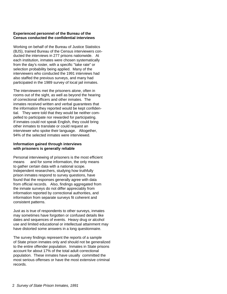#### **Experienced personnel of the Bureau of the Census conducted the confidential interviews**

Working on behalf of the Bureau of Justice Statistics (BJS), trained Bureau of the Census interviewers conducted the interviews in 277 prisons nationwide. At each institution, inmates were chosen systematically from the day's roster, with a specific "take rate" or selection probability being applied. Many of the interviewers who conducted the 1991 interviews had also staffed the previous surveys, and many had participated in the 1989 survey of local jail inmates.

The interviewers met the prisoners alone, often in rooms out of the sight, as well as beyond the hearing of correctional officers and other inmates. The inmates received written and verbal guarantees that the information they reported would be kept confidential. They were told that they would be neither compelled to participate nor rewarded for participating. If inmates could not speak English, they could bring other inmates to translate or could request an interviewer who spoke their language. Altogether, 94% of the selected inmates were interviewed.

#### **Information gained through interviews with prisoners is generally reliable**

Personal interviewing of prisoners is the most efficient means  $-$  and for some information, the only means  $$ to gather certain data with a national scope. Independent researchers, studying how truthfully prison inmates respond to survey questions, have found that the responses generally agree with data from official records. Also, findings aggregated from the inmate surveys do not differ appreciably from information reported by correctional authorities, and information from separate surveys fit coherent and consistent patterns.

Just as is true of respondents to other surveys, inmates may sometimes have forgotten or confused details like dates and sequences of events. Heavy drug or alcohol use and limited educational or intellectual attainment may have distorted some answers in a long questionnaire.

The survey findings represent the reports of a sample of State prison inmates only and should not be generalized to the entire offender population. Inmates in State prisons account for about 17% of the total adult correctional population. These inmates have usually committed the most serious offenses or have the most extensive criminal records.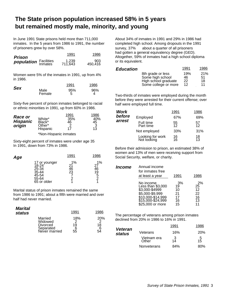## **The State prison population increased 58% in 5 years but remained mostly male, minority, and young**

In June 1991 State prisons held more than 711,000 inmates. In the 5 years from 1986 to 1991, the number of prisoners grew by over 58%.

| Prison                       | 1991             | 1986           |
|------------------------------|------------------|----------------|
| <b>population</b> Facilities | 1,239<br>711,643 | 903<br>450.416 |

Women were 5% of the inmates in 1991, up from 4% in 1986.

|            |                | 1991     | 1986 |
|------------|----------------|----------|------|
| <b>Sex</b> | Male<br>Female | 95%<br>5 | 96%  |

Sixty-five percent of prison inmates belonged to racial or ethnic minorities in 1991, up from 60% in 1986.

| Race or                   | White*                       | 1991<br>35%   | 1986<br>40%   |  |
|---------------------------|------------------------------|---------------|---------------|--|
| <b>Hispanic</b><br>origin | Black*<br>Other*<br>Hispanic | 46<br>2<br>17 | 45<br>3<br>13 |  |
|                           | *Non-Hispanic inmates        |               |               |  |

Sixty-eight percent of inmates were under age 35 In 1991, down from 73% in 1986.

| Age |                                                                           | 1991           | 1986                           |
|-----|---------------------------------------------------------------------------|----------------|--------------------------------|
|     | 17 or younger<br>18-24<br>25-34<br>35-44<br>45-54<br>55-64<br>65 or older | 1%<br>46<br>23 | 1%<br>27<br>46<br>19<br>5<br>2 |

Marital status of prison inmates remained the same from 1986 to 1991; about a fifth were married and over half had never married.

| <b>Marital</b><br>status |               | 1991 | 1986 |
|--------------------------|---------------|------|------|
|                          | Married       | 18%  | 20%  |
|                          | Widowed       | າ    | っ    |
|                          | Divorced      | 19   | 18   |
|                          | Separated     | 6    | 6    |
|                          | Never married | 55   | 54   |

About 34% of inmates in 1991 and 29% in 1986 had completed high school. Among dropouts in the 1991 survey,  $37\%$   $-$  about a quarter of all prisoners  $$ had gotten a general equivalency degree (GED). Altogether, 59% of inmates had a high school diploma or its equivalent.

| <b>Education</b> |                      | 1991 | 1986 |
|------------------|----------------------|------|------|
|                  | 8th grade or less    | 19%  | 21%  |
|                  | Some high school     | 46   | 51   |
|                  | High school graduate | 22   | 18   |
|                  | Some college or more | 12   | 11   |

Two-thirds of inmates were employed during the month before they were arrested for their current offense; over half were employed full time.

| <b>Work</b> |                                 | 1991     | 1986                  |
|-------------|---------------------------------|----------|-----------------------|
| before      | Employed                        | 67%      | 69%                   |
| arrest      | Full time<br>Part time          | 55<br>12 | 57<br>$\overline{12}$ |
|             | Not employed                    | 33%      | 31%                   |
|             | Looking for work<br>Not looking | 16<br>16 | 18<br>13              |

Before their admission to prison, an estimated 38% of women and 13% of men were receiving support from Social Security, welfare, or charity.

| <b>Income</b> | Annual income<br>for inmates free<br>at least a year                                                                          | 1991                                   | 1986                                           |
|---------------|-------------------------------------------------------------------------------------------------------------------------------|----------------------------------------|------------------------------------------------|
|               | No income<br>Less than \$3,000<br>\$3,000-\$4999<br>\$5,000-\$9,999<br>10,000-\$14,999<br>15,000-\$24,999<br>\$25,000 or more | 3%<br>19<br>10<br>21<br>17<br>16<br>15 | 2%<br>$2\bar{5}$<br>12<br>22<br>16<br>13<br>11 |

The percentage of veterans among prison inmates declined from 20% in 1986 to 16% in 1991.

|                          |                      | 1991    | 1986       |
|--------------------------|----------------------|---------|------------|
| <b>Veteran</b><br>status | Veterans             | 16%     | <b>20%</b> |
|                          | Vietnam era<br>Other | З<br>14 | 5<br>15    |
|                          | Nonveterans          | 84%     | 80%        |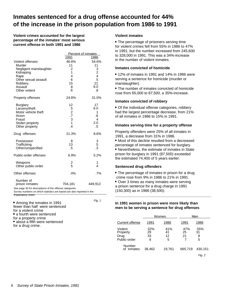## **Inmates sentenced for a drug offense accounted for 44% of the increase in the prison population from 1986 to 1991**

Fig. 1

**Violent crimes accounted for the largest percentage of the inmates' most serious current offense in both 1991 and 1986**

|                                                                                                                                  | <b>Percent of inmates</b> |                |  |
|----------------------------------------------------------------------------------------------------------------------------------|---------------------------|----------------|--|
|                                                                                                                                  | <u>1991</u>               | 1986           |  |
| Violent offenses                                                                                                                 | 46.6%                     | 54.6%          |  |
| Murder                                                                                                                           | 11                        | 11             |  |
| Negligent manslaughter                                                                                                           | 2                         | 3              |  |
| Kidnaping                                                                                                                        | 1                         |                |  |
| Rape                                                                                                                             | 4                         | $\frac{2}{4}$  |  |
| Other sexual assault                                                                                                             | 6                         | 5              |  |
| Robbery                                                                                                                          | 15                        | 21             |  |
| Assault                                                                                                                          | 8                         | 8.0            |  |
| Other violent                                                                                                                    | .6                        | .8             |  |
| Property offenses                                                                                                                | 24.8%                     | 31.0%          |  |
| <b>Burglary</b>                                                                                                                  | 12                        | 17             |  |
| Larceny/theft                                                                                                                    | 5273                      | 6.0            |  |
| Motor vehicle theft                                                                                                              |                           | 1              |  |
| Arson                                                                                                                            |                           | .8             |  |
| Fraud                                                                                                                            |                           | 4              |  |
| Stolen property                                                                                                                  |                           | 2.0            |  |
| Other property                                                                                                                   | $\overline{.4}$           | .5             |  |
| Drug offenses                                                                                                                    | 21.3%                     | 8.6%           |  |
| Possession                                                                                                                       | 8                         | 3              |  |
| Trafficking                                                                                                                      | 13                        | 5              |  |
| Other/unspecified                                                                                                                | $.5\,$                    | $\overline{3}$ |  |
| Public-order offenses                                                                                                            | 6.9%                      | 5.2%           |  |
| Weapons                                                                                                                          | $\frac{2}{5}$             | 1              |  |
| Other public-order                                                                                                               |                           | 4              |  |
| Other offenses                                                                                                                   | .4%                       | $.7\%$         |  |
| Number of                                                                                                                        |                           |                |  |
| prison inmates                                                                                                                   | 704,181                   | 449,912        |  |
| See page 30 for descriptions of the offense categories.<br>Survey numbers on which statistics are based are also reported in the |                           |                |  |

Explanatory notes.

• Among the inmates in 1991 fewer than half were sentenced for a violent crime • a fourth were sentenced for a property crime • about a fifth were sentenced for a drug crime.

#### **Violent inmates**

 The percentage of prisoners serving time for violent crimes fell from 55% in 1986 to 47% in 1991, but the number increased from 245,600 to 328,000 in 1991. This was a 34%-increase in the number of violent inmates.

#### **Inmates convicted of homicide**

 12% of inmates in 1991 and 14% in 1986 were serving a sentence for homicide (murder or manslaughter).

 The number of inmates convicted of homicide rose from 65,000 to 87,500, a 35%-increase.

#### **Inmates convicted of robbery**

 Of the individual offense categories, robbery had the largest percentage decrease, from 21% of all inmates in 1986 to 15% in 1991.

#### **Inmates serving time for a property offense**

Property offenders were 25% of all inmates in 1991, a decrease from 31% in 1986.

 Most of this decline resulted from a decreased percentage of inmates sentenced for burglary.

 Nevertheless, the estimate of inmates in State prison for burglary in 1991 (87,500) exceeded the estimated 74,400 of 5 years earlier.

#### **Sentenced drug offenders**

 The percentage of inmates in prison for a drug crime rose from 9% in 1986 to 21% in 1991.

 Over 3 times as many inmates were serving a prison sentence for a drug charge in 1991 (150,300) as in 1986 (38,500).

#### **In 1991 women in prison were more likely than men to be serving a sentence for drug offenses**

**\_\_\_\_\_\_\_\_\_\_\_\_\_\_\_\_\_\_\_\_\_\_\_\_\_\_\_\_\_\_\_\_\_\_\_\_\_\_\_\_\_\_\_\_\_\_\_**

|                                             | Women                |                      | Men             |                     |
|---------------------------------------------|----------------------|----------------------|-----------------|---------------------|
| Current offense                             | 1991                 | 1986                 | 1991            | 1986                |
| Violent<br>Property<br>Drug<br>Public-order | 32%<br>29<br>33<br>6 | 41%<br>41<br>12<br>5 | 47%<br>25<br>21 | 55%<br>31<br>8<br>5 |
| Number<br>of inmates                        | 38,462               | 19,761               | 665,719         | 430,151             |
|                                             |                      |                      |                 | Fig. 2              |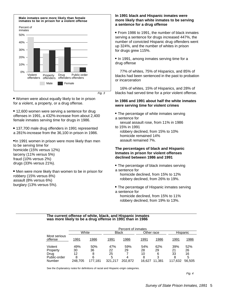

Fig. 3

 Women were about equally likely to be in prison for a violent, a property, or a drug offense.

• 12,600 women were serving a sentence for drug offenses in 1991, a 432%-increase from about 2,400 female inmates serving time for drugs in 1986.

 137,700 male drug offenders in 1991 represented a 281%-increase from the 36,100 in prison in 1986.

•In 1991 women in prison were more likely than men to be serving time for homicide (15% versus 12%) larceny (11% versus 5%) fraud (10% versus 2%) drugs (33% versus 21%).

• Men were more likely than women to be in prison forrobbery (15% versus 8%) assault (8% versus 6%) burglary (13% versus 5%).

#### **In 1991 black and Hispanic inmates were more likely than white inmates to be serving a sentence for a drug offense**

 From 1986 to 1991, the number of black inmates serving a sentence for drugs increased 447%, the number of convicted Hispanic drug offenders went up 324%, and the number of whites in prison for drugs grew 115%.

• In 1991, among inmates serving time for a drug offense

 77% of whites, 75% of Hispanics, and 85% of blacks had been sentenced in the past to probation or incarceration

 16% of whites, 15% of Hispanics, and 28% of blacks had served time for a prior violent offense.

#### **In 1986 and 1991 about half the white inmates were serving time for violent crimes**

- The percentage of white inmates serving a sentence for
- sexual assault rose, from 11% in 1986 to 15% in 1991
- robbery declined, from 15% to 10%
- homicide remained 14%
- assault remained 7%.

#### **The percentages of black and Hispanic Inmates in prison for violent offenses declined between 1986 and 1991**

- The percentage of black inmates serving a sentence for
- homicide declined, from 15% to 12%
- robbery declined, from 26% to 19%.
- The percentage of Hispanic inmates serving a sentence for
- $-$  homicide declined, from 15% to 11%
- robbery declined, from 19% to 13%.

#### **The current offense of white, black, and Hispanic inmates was more likely to be a drug offense in 1991 than in 1986**

|                         | Percent of inmates |         |              |         |        |            |         |          |  |
|-------------------------|--------------------|---------|--------------|---------|--------|------------|---------|----------|--|
|                         | White              |         | <b>Black</b> |         |        | Other race |         | Hispanic |  |
| Most serious<br>offense | 1991               | 1986    | 1991         | 1986    | 1991   | 1986       | 1991    | 1986     |  |
| Violent                 | 49%                | 50%     | 47%          | 59%     | 54%    | 62%        | 39%     | 52%      |  |
| Property                | 30                 | 36      | 22           | 29      | 28     | 29         | 21      | 26       |  |
| Drug                    | 12                 | 8       | 25           |         | 10     | 6          | 33      | 16       |  |
| Public-order            | 8                  | 6       | 5            | 4       | 8      | 3          | 8       | 5        |  |
| Number                  | 248.705            | 177.181 | 321.217      | 202.872 | 16.627 | 11.381     | 117,632 | 56,505   |  |

See the Explanatory notes for definitions of racial and Hispanic-origin categories.

Fig. 4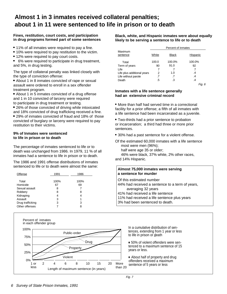## **Almost 1 in 3 inmates received collateral penalties; about 1 in 11 were sentenced to life in prison or to death**

#### **Fines, restitution, court costs, and participation in drug programs formed part of some sentences**

- 11% of all inmates were required to pay a fine.
- 10% were required to pay restitution to the victim.
- 12% were required to pay court costs.
- 6% were required to participate in drug treatment, and 5%, in drug testing.

The type of collateral penalty was linked closely with the type of conviction offense:

 About 1 in 8 inmates convicted of rape or sexual assault were ordered to enroll in a sex offender treatment program.

• About 1 in 5 inmates convicted of a drug offense and 1 in 10 convicted of larceny were required to participate in drug treatment or testing.

 26% of those convicted of driving while intoxicated and 18% convicted of drug trafficking received a fine. 29% of inmates convicted of fraud and 18% of those convicted of burglary or larceny were required to pay restitution to their victims.

#### **9% of Inmates were sentenced to life in prison or to death**

The percentage of inmates sentenced to life or to death was unchanged from 1986. In 1979, 11 % of all inmates had a sentence to life in prison or to death.

The 1986 and 1991 offense distributions of inmates sentenced to life or to death were almost the same:

| Offense          | 1991 | 1986 |
|------------------|------|------|
| Total            | 100% | 100% |
|                  |      |      |
| Homicide         | 67   | 69   |
| Sexual assault   | 8    |      |
| Robbery          | 8    | 8    |
| Kidnaping        | 4    | 4    |
| Assault          | 3    | 1    |
| Drug trafficking | 3    | 3    |
| Other offenses   |      | 8    |



**Black, white, and Hispanic inmates were about equally likely to be serving a sentence to life or to death**

|                            | Percent of inmates |              |            |  |  |
|----------------------------|--------------------|--------------|------------|--|--|
| Maximum                    |                    |              |            |  |  |
| sentence                   | White              | <b>Black</b> | Hispanic   |  |  |
| Total                      | 100.0              | 100.0%       | 100.0%     |  |  |
| Term of years              | 90                 | 91.0         | 92         |  |  |
| Life                       |                    |              | 7          |  |  |
| Life plus additional years | 2                  | 1.0          | .4         |  |  |
| Life without parole        | .7                 | .7           | .4         |  |  |
| Death                      | .5                 | .3           | .4         |  |  |
|                            |                    |              | . 6<br>Fıa |  |  |

#### **Inmates with a life sentence generally had an extensive criminal record**

• More than half had served time in a correctional facility for a prior offense; a fifth of all inmates with a life sentence had been incarcerated as a juvenile.

 Two-thirds had a prior sentence to probation or incarceration; a third had three or more prior sentences.

30% had a past sentence for a violent offense.

Of the estimated 60,000 inmates with a life sentence  $-$  most were men (96%);

- half were age 35 or older;

 46% were black, 37% white, 2% other races, and 14% Hispanic.

#### **Almost 75,000 inmates were serving a sentence for murder**

Of this estimated number

- 44% had received a sentence to a term of years, averaging 32 years
- 41% had received a life sentence
- 11% had received a life sentence plus years
- 3% had been sentenced to death.

In a cumulative distribution of sentences, extending from 1 year or less to life in prison or death

 50% of violent offenders were sentenced to a maximum sentence of 15 years or less.

 About half of property and drug offenders received a maximum sentence of 5 years or less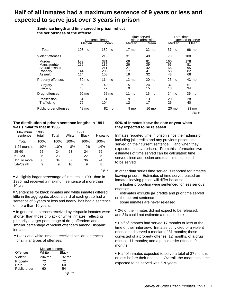## **Half of all inmates had a maximum sentence of 9 years or less and expected to serve just over 3 years in prison**

**Sentence length and time served in prison reflect the seriousness of the offense**

|                                                                | Median                           | Sentence length<br>Mean         | Time served<br>Median      | since admission<br>Mean    | Total time<br>Median        | expected to serve<br>Mean   |
|----------------------------------------------------------------|----------------------------------|---------------------------------|----------------------------|----------------------------|-----------------------------|-----------------------------|
| Total                                                          | 108 mo                           | 150 mo                          | $17 \text{ mo}$            | 32 mo                      | 37 mo                       | 66 mo                       |
| Violent offenses                                               | 180                              | 216                             | 31                         | 49                         | 70                          | 100                         |
| Murder<br>Manslaughter<br>Sexual assault<br>Robbery<br>Assault | Life<br>156<br>180<br>144<br>114 | 381<br>185<br>211<br>200<br>158 | 69<br>26<br>27<br>27<br>18 | 81<br>39<br>42<br>41<br>32 | 160<br>66<br>66<br>58<br>43 | 178<br>81<br>95<br>82<br>68 |
| Property offenses                                              | 60 mo                            | 114 mo                          | $12 \text{ mo}$            | 20 mo                      | 26 mo                       | 43 mo                       |
| <b>Burglary</b><br>Larceny                                     | 96<br>48                         | 140<br>72                       | 15<br>9                    | 24<br>15                   | 32<br>18                    | 51<br>34                    |
| Drug offenses                                                  | 60 mo                            | 95 mo                           | $11 \text{ mo}$            | 16 mo                      | 24 mo                       | 36 mo                       |
| Possession<br>Trafficking                                      | 54<br>72                         | 81<br>104                       | 9<br>12                    | 13<br>17                   | 20<br>26                    | 28<br>40                    |
| Public-order offenses                                          | 48 mo                            | 82 mo                           | 9 mo                       | 16 mo                      | 20 mo                       | 33 mo<br>Fig. 8             |

#### **The distribution of prison sentence lengths in 1991 was similar to that in 1986**

| 1986<br>Maximum |       | 1991  |       |              |          |  |  |
|-----------------|-------|-------|-------|--------------|----------|--|--|
| sentence        | total | Total | White | <b>Black</b> | Hispanic |  |  |
| Total           | 100%  | 100%  | 100%  | 100%         | 100%     |  |  |
| 1-24 months     | 10%   | 10%   | 8%    | 9%           | 14%      |  |  |
| 25-60           | 25    | 24    | 23    | 24           | 29       |  |  |
| 61-120          | 25    | 23    | 22    | 22           | 25       |  |  |
| 121 or more     | 30    | 34    | 37    | 36           | 24       |  |  |
| Life/death      | 9     | 9     | 10    | 9            | 8        |  |  |
|                 |       |       |       |              | --       |  |  |

Fig. 9

 A slightly larger percentage of inmates in 1991 than in 1986 had received a maximum sentence of more than 10 years.

 Sentences for black inmates and white inmates differed little in the aggregate; about a third of each group had a sentence of 5 years or less and nearly half had a sentence of more than 10 years.

 In general, sentences received by Hispanic inmates were shorter than those of black or white inmates, reflecting primarily a larger percentage of drug offenders and a smaller percentage of violent offenders among Hispanic inmates.

 Black and white inmates received similar sentences for similar types of offenses:

|                 | Median sentence |              |
|-----------------|-----------------|--------------|
| <b>Offenses</b> | White           | <b>Black</b> |
| Violent         | 204 mo          | 192 mo       |
| Property        | 72              | 72           |
| Drug            | 72              | 60           |
| Public-order    | 60              | 54           |
|                 |                 | Fig. 10      |

#### **90% of Inmates knew the date or year when they expected to be released**

Inmates reported time in prison since their admission including jail credits and any previous prison time served on their current sentence - and when they expected to leave prison. From this information two estimates of time served can be calculated: time served since admission and total time expected to be served.

In other data series time served is reported for inmates leaving prison. Estimates of time served based on inmates leaving prison will differ because a higher proportion were sentenced for less serious offenses

- estimates exclude jail credits and prior time served on the current sentence

some inmates are never released.

 2% of the inmates did not expect to be released, and 8% could not estimate a release date.

• Half of inmates had served 17 months or less at the time of their interview. Inmates convicted of a violent offense had served a median of 31 months; those convicted of a property offense, 12 months; of a drug offense, 11 months; and a public-order offense, 9 months.

• Half of inmates expected to serve a total of 37 months or less before their release. Overall, the mean total time expected to be served was  $5\frac{1}{2}$  years.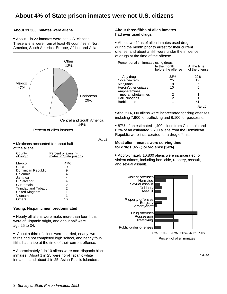## **About 4% of State prison inmates were not U.S. citizens**

#### **About 31,300 inmates were aliens**

 About 1 in 23 inmates were not U.S. citizens. These aliens were from at least 49 countries in North America, South America, Europe, Africa, and Asia.



Fig. 11

 Mexicans accounted for about half of the aliens

| County                                                                                                                                                | Percent of alien in-                               |
|-------------------------------------------------------------------------------------------------------------------------------------------------------|----------------------------------------------------|
| of origin                                                                                                                                             | mates in State prisons                             |
| Mexico<br>Cuba<br>Dominican Republic<br>Colombia<br>Jamaica<br>El Salvador<br>Guatemala<br>Trinidad and Tobago<br>United Kingdom<br>Vietnam<br>Others | 47%<br>10<br>9<br>4<br>4<br>4<br>2<br>2<br>1<br>16 |

#### **Young, Hispanic men predominated**

- Nearly all aliens were male, more than four-fifths were of Hispanic origin, and about half were age 25 to 34.
- About a third of aliens were married, nearly twothirds had not completed high school, and nearly fourfifths had a job at the time of their current offense.

 Approximately 1 in 10 aliens were non-Hispanic black inmates. About 1 in 25 were non-Hispanic white inmates, and about 1 in 25, Asian-Pacific Islanders.

#### **About three-fifths of alien inmates had ever used drugs**

 About two-fifths of alien inmates used drugs during the month prior to arrest for their current offense, and about a fifth were under the influence of drugs at the time of the offense.

| Percent of alien inmates using drugs - | In the month<br>before the offense | At the time<br>of the offense |
|----------------------------------------|------------------------------------|-------------------------------|
| Any drug<br>Cocaine/crack<br>Marijuana | 38%<br>25<br>19                    | 22%<br>12<br>6                |
| Heroin/other opiates<br>Amphetamines/  | 10                                 | հ                             |
| methamphetamines                       | 2                                  | ہ ۔                           |
| Hallucinogens<br><b>Barbiturates</b>   | 2                                  | ا>                            |
|                                        |                                    |                               |

About 14,000 aliens were incarcerated for drug offenses, including 7,900 for trafficking and 6,100 for possession.

 87% of an estimated 1,400 aliens from Colombia and 67% of an estimated 2,700 aliens from the Dominican Republic were incarcerated for a drug offense.

#### **Most alien inmates were serving time for drugs (45%) or violence (34%)**

 Approximately 10,800 aliens were incarcerated for violent crimes, including homicide, robbery, assault, and sexual assault.



Fig. 13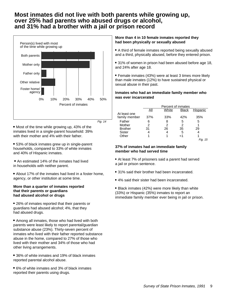## **Most inmates did not live with both parents while growing up, over 25% had parents who abused drugs or alcohol, and 31% had a brother with a jail or prison record**



Fig. 14

 Most of the time while growing up, 43% of the inmates lived in a single-parent household: 39% with their mother and 4% with their father.

 53% of black inmates grew up in single-parent households, compared to 33% of white inmates and 40% of Hispanic inmates.

 An estimated 14% of the inmates had lived in households with neither parent.

 About 17% of the inmates had lived in a foster home, agency, or other institution at some time.

#### **More than a quarter of inmates reported that their parents or guardians had abused alcohol or drugs**

 26% of inmates reported that their parents or guardians had abused alcohol; 4%, that they had abused drugs.

 Among all inmates, those who had lived with both parents were least likely to report parental/guardian substance abuse (23%). Thirty-seven percent of inmates who lived with their father reported substance abuse in the home, compared to 27% of those who lived with their mother and 34% of those who had other living arrangements.

 36% of white inmates and 19% of black inmates reported parental alcohol abuse.

 6% of white inmates and 3% of black inmates reported their parents using drugs.

#### **More than 4 in 10 female inmates reported they had been physically or sexually abused**

 A third of female inmates reported being sexually abused and a third, physically abused, before they entered prison.

 31% of women in prison had been abused before age 18, and 24% after age 18.

 Female inmates (43%) were at least 3 times more likely than male inmates (12%) to have sustained physical or sexual abuse in their past.

#### **Inmates who had an immediate family member who was ever incarcerated**

|                               | Percent of inmates |       |              |            |  |  |
|-------------------------------|--------------------|-------|--------------|------------|--|--|
|                               | Αll                | White | <b>Black</b> | Hispanic   |  |  |
| At least one<br>family member | 37%                | 33%   | 42%          | 35%        |  |  |
| Father                        | 6                  | 8     | 5            | 5          |  |  |
| Mother                        | 2                  | 2     | 2            |            |  |  |
| <b>Brother</b>                | 31                 | 26    | 35           | 29         |  |  |
| Sister                        |                    | 4     | 5            | 4          |  |  |
| Other                         |                    |       | ہ ۔          |            |  |  |
|                               |                    |       |              | Fig.<br>15 |  |  |

#### **37% of inmates had an immediate family member who had served time**

- At least 7% of prisoners said a parent had served a jail or prison sentence.
- 31% said their brother had been incarcerated.
- 4% said their sister had been incarcerated.

 Black inmates (42%) were more likely than white (33%) or Hispanic (35%) inmates to report an immediate family member ever being in jail or prison.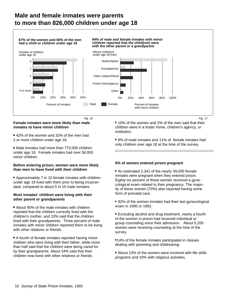## **Male and female inmates were parents to more than 826,000 children under age 18**



#### **Female inmates were more likely than male inmates to have minor children**

 42% of the women and 32% of the men had 2 or more children under age 18.

• Male inmates had more than 770,000 children under age 18. Female inmates had over 56,000 minor children.

#### **Before entering prison, women were more likely than men to have lived with their children**

 Approximately 7 in 10 female inmates with children under age 18 lived with them prior to being incarcerated, compared to about 5 in 10 male inmates.

#### **Most inmates' children were living with their other parent or grandparents**

 About 90% of the male inmates with children reported that the children currently lived with the children's mother, and 10% said that the children lived with their grandparents. Three percent of male inmates with minor children reported them to be living with other relatives or friends.

 A fourth of female inmates reported having minor children who were living with their father, while more than half said that the children were being cared for by their grandparents. About 24% said that their children now lived with other relatives or friends.

 10% of the women and 2% of the men said that their children were in a foster home, children's agency, or institution. Fig. 16 Fig. 17

> 8% of male inmates and 11% of female inmates had only children over age 18 at the time of the survey.

#### **6% of women entered prison pregnant**

 An estimated 2,341 of the nearly 39,000 female inmates were pregnant when they entered prison. Eighty-six percent of these women received a gynecological exam related to their pregnancy. The majority of these women (70%) also reported having some form of prenatal care.

- 92% of the women inmates had their last gynecological exam in 1990 or 1991.
- Excluding alcohol and drug treatment, nearly a fourth of the women in prison had received individual or group counseling since their admission. About 5,200 women were receiving counseling at the time of the survey.
- 14% of the female inmates participated in classes dealing with parenting and childrearing.
- About 13% of the women were involved with life skills programs and 33% with religious activities.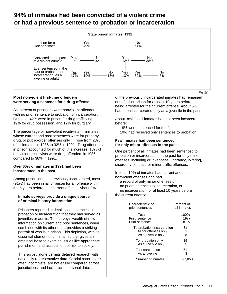## **94% of inmates had been convicted of a violent crime or had a previous sentence to probation or incarceration**



#### **Most nonviolent first-time offenders were serving a sentence for a drug offense**

Six percent of prisoners were nonviolent offenders with no prior sentence to probation or incarceration. Of these, 42% were in prison for drug trafficking, 19% for drug possession, and 12% for burglary.

The percentage of nonviolent recidivists  $-$  inmates whose current and past sentences were for property, drug, or public-order offenses only - rose from 28% of all inmates in 1986 to 32% in 1991. Drug offenders in prison accounted for much of this increase: 18% of nonviolent recidivists were drug offenders in 1986, compared to 38% in 1991.

#### **Over 60% of inmates in 1991 had been incarcerated in the past**

Among prison inmates previously incarcerated, most (91%) had been in jail or prison for an offense within the 5 years before their current offense. About 3%

#### **Inmate surveys provide a unique source of criminal history information**

Prisoners reported in detail past sentences to probation or incarceration that they had served as juveniles or adults. The survey's wealth of new information on current and prior sentences, when combined with its other data, provides a striking portrait of who is in prison. This depiction, with its essential element of criminal history, gives an empirical base to examine issues like appropriate punishment and assessment of risk to society.

This survey alone permits detailed research with nationally representative data. Official records are often incomplete, are not easily compared across jurisdictions, and lack crucial personal data.

of the previously incarcerated inmates had remained out of jail or prison for at least 10 years before being arrested for their current offense. About 5% had been incarcerated only as a juvenile in the past.

About 38% Of all inmates had not been incarcerated before:

 $-$  19% were sentenced for the first time.

19% had received only sentences to probation.

#### **Few Inmates had been sentenced for only minor offenses In the past**

One percent of all inmates had been sentenced to probation or incarceration in the past for only minor offenses, including drunkenness, vagrancy, loitering, disorderly conduct, or minor traffic offenses.

In total, 19% of inmates had current and past nonviolent offenses and had

- a record of only minor offenses or
- no prior sentences to incarceration, or

 no incarceration for at least 10 years before the current offense.

| Characteristic of                                                       | Percent of  |
|-------------------------------------------------------------------------|-------------|
| prior sentences                                                         | all inmates |
| Total                                                                   | 100%        |
| First sentence                                                          | 19%         |
| Prior sentence                                                          | 81%         |
| To probation/incarceration<br>Minor offenses only<br>As a juvenile only | 81<br>8     |
| To probation only                                                       | 19          |
| As a juvenile only                                                      | 5           |
| To incarceration                                                        | 61          |
| As a juvenile                                                           | З           |
| Number of inmates                                                       | 697.853     |

Fig. 18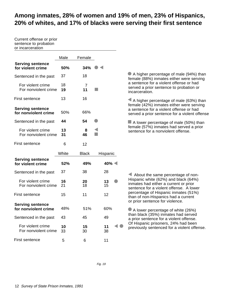## **Among inmates, 28% of women and 19% of men, 23% of Hispanics, 20% of whites, and 17% of blacks were serving their first sentence**

Current offense or prior sentence to probation or incarceration

|                                                 | Male     | Female       |          |
|-------------------------------------------------|----------|--------------|----------|
| <b>Serving sentence</b><br>for violent crime    | 50%      | 34%          |          |
| Sentenced in the past                           | 37       | 18           |          |
| For violent crime<br>For nonviolent crime       | 18<br>19 | 7<br>11      |          |
| First sentence                                  | 13       | 16           |          |
| <b>Serving sentence</b><br>for nonviolent crime | 50%      | 66%          |          |
| Sentenced in the past                           | 44       | 54           |          |
| For violent crime<br>For nonviolent crime       | 13<br>31 | 8<br>46      | ◀        |
| First sentence                                  | 6        | 12           |          |
|                                                 | White    | <b>Black</b> | Hispanic |
| <b>Serving sentence</b><br>for violent crime    | 52%      | 49%          | 40%      |
| Sentenced in the past                           | 37       | 38           | 28       |
| For violent crime<br>For nonviolent crime       | 16<br>21 | 20<br>18     | 13<br>15 |
| First sentence                                  | 15       | 11           | 12       |
| <b>Serving sentence</b><br>for nonviolent crime | 48%      | 51%          | 60%      |
|                                                 |          |              |          |
| Sentenced in the past                           | 43       | 45           | 49       |
| For violent crime<br>For nonviolent crime       | 10<br>33 | 15<br>30     | 11<br>38 |

 A higher percentage of male (94%) than female (88%) inmates either were serving a sentence for a violent offense or had served a prior sentence to probation or incarceration.

 A higher percentage of male (63%) than female (42%) inmates either were serving a sentence for a violent offense or had served a prior sentence for a violent offense

A lower percentage of male (50%) than female (57%) inmates had served a prior sentence for a nonviolent offense.

 About the same percentage of non-Hispanic white (62%) and black (64%) inmates had either a current or prior sentence for a violent offense. A lower percentage of Hispanic inmates (51%) than of non-Hispanics had a current or prior sentence for violence.

 A lower percentage of white (26%) than black (35%) inmates had served a prior sentence for a violent offense. Of Hispanic prisoners, 24% had been previously sentenced for a violent offense.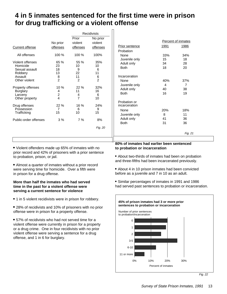## **4 in 5 inmates sentenced for the first time were in prison for drug trafficking or a violent offense**

Recidivists

|                                                                                       |                                               |                                  | Recignists                     |
|---------------------------------------------------------------------------------------|-----------------------------------------------|----------------------------------|--------------------------------|
|                                                                                       |                                               | Prior                            | No prior                       |
|                                                                                       | No prior                                      | violent                          | violent                        |
| Current offense                                                                       | offenses                                      | offenses                         | <b>offenses</b>                |
| All offenses                                                                          | 100 %                                         | 100 %                            | 100%                           |
| Violent offenses<br>Homicide<br>Sexual assault<br>Robbery<br>Assault<br>Other violent | 65 %<br>23<br>18<br>13<br>8<br>$\overline{2}$ | 55 %<br>10<br>9<br>22<br>11<br>2 | 35%<br>10<br>6<br>11<br>6<br>2 |
| Property offenses<br>Burglary<br>Larceny<br>Other property                            | 10 %<br>4<br>2<br>4                           | 22%<br>11<br>4<br>$\overline{7}$ | 32%<br>16<br>6<br>10           |
| Drug offenses<br>Possession<br>Trafficking                                            | 22 %<br>7<br>15                               | 16 %<br>6<br>10                  | 24%<br>9<br>15                 |
| Public-order offenses                                                                 | 3%                                            | 7%                               | 8%                             |
|                                                                                       |                                               |                                  | Fig. 20                        |

|                               |      | Percent of inmates |
|-------------------------------|------|--------------------|
| <b>Prior sentence</b>         | 1991 | 1986               |
| Probation                     |      |                    |
| None                          | 33%  | 34%                |
| Juvenile only                 | 15   | 18                 |
| Adult only                    | 34   | 28                 |
| <b>Both</b>                   | 18   | 20                 |
| Incarceration                 |      |                    |
| None                          | 40%  | 37%                |
| Juvenile only                 | 4    | 7                  |
| Adult only                    | 40   | 38                 |
| <b>Both</b>                   | 16   | 19                 |
| Probation or<br>incarceration |      |                    |
| None                          | 20%  | 18%                |
| Juvenile only                 | 8    | 11                 |
| Adult only                    | 41   | 36                 |
| <b>Both</b>                   | 31   | 36                 |
|                               |      | Fig. 21            |

 Violent offenders made up 65% of inmates with no prior record and 42% of prisoners with a prior sentence to probation, prison, or jail.

 Almost a quarter of inmates without a prior record were serving time for homicide. Over a fifth were in prison for a drug offense.

#### **More than half the inmates who had served time in the past for a violent offense were serving a current sentence for violence**

• 1 in 5 violent recidivists were in prison for robbery.

 28% of recidivists and 10% of prisoners with no prior offense were in prison for a property offense.

 57% of recidivists who had not served time for a violent offense were currently in prison for a property or a drug crime. One in four recidivists with no prior violent offense were serving a sentence for a drug offense, and 1 in 6 for burglary.

#### **80% of inmates had earlier been sentenced to probation or incarceration**

- About two-thirds of inmates had been on probation and three-fifths had been incarcerated previously.
- About 4 in 10 prison inmates had been convicted before as a juvenile and 7 in 10 as an adult.

 Similar percentages of inmates in 1991 and 1986 had served past sentences to probation or incarceration.



Fig. 22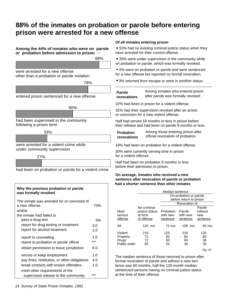## **88% of the inmates on probation or parole before entering prison were arrested for a new offense**

#### **Among the 44% of inmates who were on parole or probation before admission to prison**

88%

were arrested for a new offense other than a probation or parole violation



entered prison sentenced for a new offense



had been supervised in the community following a prison term



under community supervision



had been on probation or parole for a violent crime

#### **Why the previous probation or parole was formally revoked** The inmate was arrested for or convicted of a new offense 74% and/or the inmate had failed to pass a drug test 5% report for drug testing or treatment 3.0 report for alcohol treatment 1.0 report to counseling 1.0 report to probation or parole officer \*\*\* obtain permission to leave jurisdiction 6.0 secure or keep employment 1.0 pay fines, restitution, or other obligations 4.0 break contacts with known offenders 1.0 meet other requirements of the supervised release to the community \*\*\*

#### **Of all inmates entering prison**

 53% had no existing criminal justice status when they were arrested for their current offense.

 39% were under supervision in the community while on probation or parole, which was formally revoked.

 5% were on probation or parole and were sentenced for a new offense but reported no formal revocation.

3% returned from escape or were in another status.

\_\_\_\_\_\_\_\_\_\_\_\_\_\_\_\_\_\_\_\_\_\_\_\_\_\_\_\_\_\_\_\_\_\_\_\_\_\_\_\_\_\_\_\_\_\_\_

| Parole      | Among inmates who entered prison    |
|-------------|-------------------------------------|
| revocations | after parole was formally revoked - |

32% had been in prison for a violent offense.

32% had their supervision revoked after an arrest or conviction for a new violent offense.

Half had served 18 months or less in prison before their release and had been on parole 8 months or less.

#### **Probation revocations**

Among those entering prison after official revocation of probation

18% had been on probation for a violent offense.

30% were currently serving time in prison for a violent offense.

Half had been on probation 5 months or less before their admission to prison.

#### **On average, inmates who received a new sentence after revocation of parole or probation had a shorter sentence than other inmates**

|                                              |                                                        | Median sentence                   |                                |                                      |  |
|----------------------------------------------|--------------------------------------------------------|-----------------------------------|--------------------------------|--------------------------------------|--|
|                                              |                                                        |                                   | On probation or parole         |                                      |  |
|                                              |                                                        |                                   | before return to prison        |                                      |  |
|                                              |                                                        |                                   | Revocation of                  |                                      |  |
| Most<br>serious<br>offense                   | No criminal<br>justice status<br>at time<br>of offense | Probation<br>with new<br>sentence | Parole<br>with new<br>sentence | Parole<br>without<br>new<br>sentence |  |
| All                                          | 120 mo                                                 | 72 mo                             | $108 \text{ mo}$               | 60 mo                                |  |
| Violent<br>Property<br>Drugs<br>Public-order | 216<br>72<br>72<br>60                                  | 125<br>60<br>60<br>54             | 216<br>84<br>60<br>48          | 120<br>60<br>36<br>30                |  |
|                                              |                                                        |                                   |                                | $-\cdot$                             |  |

Fig. 23

The median sentence of those returned to prison after formal revocation of parole and without a new sentence was 60 months, half the 120-month median sentenceof persons having no criminal justice status at the time of their offense.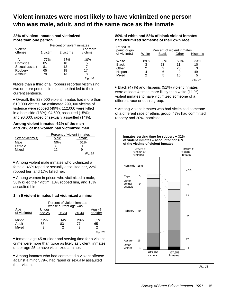## **Violent inmates were most likely to have victimized one person who was male, adult, and of the same race as the inmate**

#### **23% of violent inmates had victimized more than one person**

|                    |          | Percent of violent inmates |                      |  |  |  |
|--------------------|----------|----------------------------|----------------------|--|--|--|
| Violent<br>offense | 1 victim | 2 victims                  | 3 or more<br>victims |  |  |  |
| All                | 77%      | 13%                        | 10%                  |  |  |  |
| Homicide           | 85       | 10                         | 5                    |  |  |  |
| Sexual assault     | 81       | 12                         |                      |  |  |  |
| Robbery            | 65       | 18                         | 17                   |  |  |  |
| Assault            | 79       | 13                         | 8                    |  |  |  |
|                    |          |                            | Fig. 24              |  |  |  |

More than a third of all robbers reported victimizing two or more persons in the crime that led to their current sentence.

 Overall, the 328,000 violent inmates had more than 610,000 victims. An estimated 299,000 victims of violence were robbed (49%); 112,000 were killed in a homicide (18%); 94,500, assaulted (15%); and 90,000, raped or sexually assaulted (14%).

#### **Among violent inmates, 62% of the men and 70% of the women had victimized men**

|                  | Percent of violent inmates |         |  |  |
|------------------|----------------------------|---------|--|--|
| Sex of victim(s) | Male<br>Female             |         |  |  |
| Male             | 50%                        | 61%     |  |  |
| Female           | 39                         | 31      |  |  |
| Mixed            | 12                         | 9       |  |  |
|                  |                            | Fig. 25 |  |  |

 Among violent male inmates who victimized a female, 46% raped or sexually assaulted her, 22% robbed her, and 17% killed her.

 Among women in prison who victimized a male, 58% killed their victim, 18% robbed him, and 18% assaulted him.

#### **1 In 5 violent inmates had victimized a minor**

|                         | Percent of violent inmates<br>whose current age was |                |                |                    |
|-------------------------|-----------------------------------------------------|----------------|----------------|--------------------|
| Age<br>of victim(s)     | Under<br>age <sub>25</sub>                          | 25-34          | $35 - 44$      | Age 45<br>or older |
| Minor<br>Adult<br>Mixed | 12%<br>85<br>3                                      | 14%<br>83<br>2 | 20%<br>77<br>3 | 33%<br>65<br>2     |
|                         |                                                     |                |                | Fig. 26            |

• Inmates age 45 or older and serving time for a violent crime were more than twice as likely as violent inmates under age 25 to have victimized a minor.

 Among inmates who had committed a violent offense against a minor, 79% had raped or sexually assaulted their victim.

**89% of white and 53% of black violent inmates had victimized someone of their own race**

| .es<br>or more<br><u>ctims</u> | Race/His-<br>panic origin<br>of victim(s)           | Percent of violent inmates<br>White<br><b>Black</b><br>Hispanic<br>Other |                          |                            |                                      |  |
|--------------------------------|-----------------------------------------------------|--------------------------------------------------------------------------|--------------------------|----------------------------|--------------------------------------|--|
| 10%<br>5<br>7<br>8<br>Fig. 24  | White<br><b>Black</b><br>Other<br>Hispanic<br>Mixed | 89%<br>3<br>4<br>2                                                       | 33%<br>53<br>2<br>6<br>5 | 50%<br>11<br>20<br>9<br>10 | 33%<br>10<br>3<br>49<br>5<br>Fig. 27 |  |

 Black (47%) and Hispanic (51%) violent inmates were at least 4 times more likely than white (11 %) violent inmates to have victimized someone of a different race or ethnic group.

 Among violent inmates who had victimized someone of a different race or ethnic group, 47% had committed robbery and 20%, homicide.



Fig. 28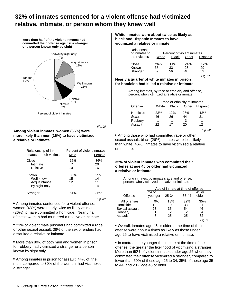## **32% of inmates sentenced for a violent offense had victimized relative, intimate, or person whom they knew well**



Fig. 29

#### **Among violent inmates, women (36%) were more likely than men (16%) to have victimized a relative or intimate**

| Relationship of in-<br>mates to their victims        | Male            | Percent of violent inmates<br>Female |
|------------------------------------------------------|-----------------|--------------------------------------|
| Close<br>Intimate<br>Relative                        | 16%<br>10       | 36%<br>20<br>16                      |
| Known<br>Well known<br>Acquaintance<br>By sight only | 33%<br>15<br>12 | 29%<br>14<br>11<br>4                 |
| Stranger                                             | 51%             | 35%<br>Fia. 30                       |

 Among inmates sentenced for a violent offense, women (48%) were nearly twice as likely as men (26%) to have committed a homicide. Nearly half of these women had murdered a relative or intimate.

 21% of violent male prisoners had committed a rape or other sexual assault; 38% of the sex offenders had assaulted a relative or intimate.

• More than 80% of both men and women in prison for robbery had victimized a stranger or a person known by sight only.

 Among inmates in prison for assault, 44% of the men, compared to 30% of the women, had victimized a stranger.

#### **White inmates were about twice as likely as black and Hispanic Inmates to have victimized a relative or inimate**

| Relationship<br>of inmates to |                 | Percent of violent inmates |                 |                            |
|-------------------------------|-----------------|----------------------------|-----------------|----------------------------|
| their victims                 | White           | Black                      | Other           | Hispanic                   |
| Close<br>Known<br>Stranger    | 26%<br>35<br>39 | 11%<br>33<br>56            | 24%<br>28<br>48 | 12%<br>29<br>59<br>Fig. 31 |

#### **Nearly a quarter of white inmates in prison for homicide had killed a relative or intimate**

Among inmates, by race or ethnicity and offense, percent who victimized a relative or inmate

|                                          |                      | Race or ethnicity of inmates |                      |                 |  |  |
|------------------------------------------|----------------------|------------------------------|----------------------|-----------------|--|--|
| Offense                                  | White                | <b>Black</b>                 | Other                | Hispanic        |  |  |
| Homicide<br>Sexual<br>Robbery<br>Assault | 23%<br>46<br>1<br>22 | 12%<br>26<br>17              | 26%<br>44<br>3<br>20 | 13%<br>31<br>12 |  |  |
|                                          |                      |                              |                      | Fia. 32         |  |  |

• Among those who had committed rape or other sexual assault, black (26%) inmates were less likely than white (46%) inmates to have victimized a relative or intimate.

 $\_$  . The contract of the contract of the contract of  $\mathcal{L}_1$ 

#### **35% of violent inmates who committed their offense at age 45 or older had victimized a relative or intimate**

Among inmates, by inmate's age and offense, percent who victimized a relative or intimate

|                                                                  |                    | Age of inmate at time of offense |                            |                            |  |  |
|------------------------------------------------------------------|--------------------|----------------------------------|----------------------------|----------------------------|--|--|
| Offense                                                          | $24$ or<br>younger | 25-34                            | 35-44                      | 45 or<br>older             |  |  |
| All offenses<br>Homicide<br>Sexual assault<br>Robbery<br>Assault | 9%<br>10<br>28     | 18%<br>19<br>35<br>2<br>25       | 32%<br>33<br>54<br>っ<br>25 | 35%<br>31<br>46<br>4<br>32 |  |  |

Fig. 33

 Overall, inmates age 45 or older at the time of their offense were about 4 times as likely as those under age 25 to have victimized a relative or intimate.

• In contrast, the younger the inmate at the time of the offense, the greater the likelihood of victimizing a stranger. More than 60% of violent inmates under age 25 when they committed their offense victimized a stranger, compared to fewer than 50% of those age 25 to 34, 35% of those age 35 to 44, and 23% age 45 or older.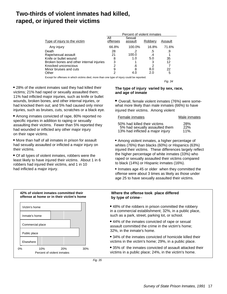## **Two-thirds of violent inmates had killed, raped, or injured their victims**

|                                          | Percent of violent inmates |                   |         |         |
|------------------------------------------|----------------------------|-------------------|---------|---------|
| Type of injury to the victim             | All<br>offenses            | Sexual<br>assault | Robbery | Assault |
| Any injury                               | 66.8%                      | 100.0%            | 16.8%   | 71.6%   |
| Death                                    | 28                         | .2                | .5      | .9      |
| Rape/sexual assault                      | 21                         | 100.0             | .4      |         |
| Knife or bullet wound                    | 8                          | 1.0               | 5.0     | 35      |
| Broken bones and other internal injuries | 3                          |                   | 3       | 12      |
| Knocked unconscious                      | າ                          | .6                | 2       |         |
| Minor bruises and cuts                   | 9                          | 8                 | 8.0     | 22      |
| Other                                    | 2                          |                   | 2 በ     | 5       |

Except for offenses in which victims died, more than one type of injury could be reported.

 28% of the violent inmates said they had killed their victims; 21% had raped or sexually assaulted them; 11% had inflicted major injuries, such as knife or bullet wounds, broken bones, and other internal injuries, or had knocked them out; and 5% had caused only minor injuries, such as bruises, cuts, scratches or a black eye.

 Among inmates convicted of rape, 80% reported no specific injuries in addition to raping or sexually assaulting their victims. Fewer than 5% reported they had wounded or inflicted any other major injury on their rape victims.

 More than half of all inmates in prison for assault had sexually assaulted or inflicted a major injury on their victims.

 Of all types of violent inmates, robbers were the least likely to have injured their victims. About 1 in 6 robbers had injured their victims, and 1 in 10 had inflicted a major injury.

#### **The type of injury varied by sex, race, and age of inmate**

Overall, female violent inmates (76%) were somewhat more likely than male inmates (66%) to have injured their victims. Among violent

Fig. 34

| Female inmates                                                 | Male inmates |
|----------------------------------------------------------------|--------------|
| 50% had killed their victims<br>5% had sexually assaulted them | 28%<br>22%   |
| 13% had inflicted a major injury                               | $11\%$ .     |

 Among violent inmates, a higher percentage of whites (76%) than blacks (60%) or Hispanics (63%) injured their victims. These differences largely reflect the higher percentage of white inmates (33%) who raped or sexually assaulted their victims compared to black (14%) or Hispanic inmates (16%).

• Inmates age 45 or older when they committed the offense were about 3 times as likely as those under age 25 to have sexually assaulted their victims.

## 0% 10% 20% 30% Percent of violent inmates Victim's home Inmate's home Commercial place Public place Elsewhere **42% of violent inmates committed their offense at home or in their victim's home**

#### **Where the offense took place differed by type of crime**--

- 48% of the robbers in prison committed the robbery in a commercial establishment; 32%, in a public place, such as a park, street, parking lot, or school.
- 44% of the inmates convicted of rape or sexual assault committed the crime in the victim's home; 32%, in the inmate's home.
- 34% of the inmates convicted of homicide killed their victims in the victim's home; 29%, in a public place.
- 35% of the inmates convicted of assault attacked their victims in a public place; 24%, in the victim's home.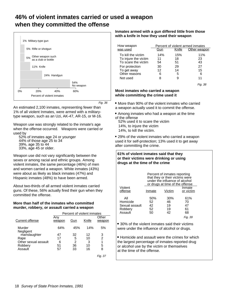## **46% of violent inmates carried or used a weapon when they committed the offense**



Fig. 36

An estimated 2,100 inmates, representing fewer than 1% of all violent Inmates, were armed with a militarytype weapon, such as an Uzi, AK-47, AR-15, or M-16.

Weapon use was strongly related to the inmate's age when the offense occurred. Weapons were carried or

- used by —<br>— 52% of inmates age 24 or younger<br>— 44% of those age 25 to 34<br>— 39%, age 35 to 44
- 
- 
- $-$  33%, age 45 or older.

Weapon use did not vary significantly between the sexes or among racial and ethnic groups. Among violent inmates, the same percentage (46%) of men and women carried a weapon. White inmates (43%) were about as likely as black inmates (47%) and Hispanic inmates (48%) to have been armed.

About two-thirds of all armed violent inmates carried guns. Of these, 56% actually fired their gun when they committed the offense.

#### **More than half of the inmates who committed murder, robbery, or assault carried a weapon**

|                        | Percent of violent inmates |     |       |                 |
|------------------------|----------------------------|-----|-------|-----------------|
| <b>Current offense</b> | Any<br>weapon              | Gun | Knife | Other<br>weapon |
| Murder<br>Negligent    | 64%                        | 45% | 14%   | 5%              |
| manslaughter           | 47                         | 32  | 12    | 3               |
| Rape                   | 17                         | 5   | 10    | 2               |
| Other sexual assault   | 6                          | 2   | 3     | 1               |
| Robbery                | 51                         | 36  | 10    | 5               |
| Assault                | 57                         | 33  | 16    | 8               |
|                        |                            |     |       | Fig. 37         |

#### **Inmates armed with a gun differed little from those with a knife in how they used their weapon**

| How weapon<br>was used | Gun | Knife | Percent of violent armed inmates<br>Other weapon |
|------------------------|-----|-------|--------------------------------------------------|
| To kill the victim     | 14% | 15%   | 11%                                              |
| To injure the victim   | 11  | 18    | 23                                               |
| To scare the victim    | 54  | 51    | 43                                               |
| For protection         | 30  | 29    | 27                                               |
| To get away            | 12  | 14    | 15                                               |
| Other reasons          | 6   | 5     | 6                                                |
| Not used               | 8   | 9     | 11                                               |

Fig. 38

#### **Most inmates who carried a weapon while committing the crime used it**

• More than 90% of the violent inmates who carried a weapon actually used it to commit the offense.

 Among inmates who had a weapon at the time of the offense 52% used it to scare the victim

 14%, to injure the victim 14%, to kill the victim.

 29% of the violent inmates who carried a weapon used it for self-protection; 13% used it to get away after committing the crime.

#### **61% of violent inmates said that they or their victims were drinking or using drugs at the time of the crime** Percent of inmates reporting that they or their victims were under the influence of alcohol or drugs at time of the offense Violent offense Inmate Victim Inmate or victim All 50% 30% 61% Homicide 52 46 70 Sexual assault  $\begin{array}{ccc} 42 & 19 & 47 \\ 42 & 19 & 61 \end{array}$ Robbery Assault 50 42 68 Fig. 39

 30% of the violent inmates said their victims were under the influence of alcohol or drugs.

 Homicide and assault were the crimes for which the largest percentage of inmates reported drug or alcohol use by the victim or themselves at the time of the offense.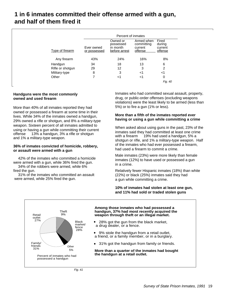## **1 in 6 inmates committed their offense armed with a gun, and half of them fired it**

|                        |                            | Percent of inmates                                 |                                                |                                       |
|------------------------|----------------------------|----------------------------------------------------|------------------------------------------------|---------------------------------------|
| <b>Type of firearm</b> | Ever owned<br>or possessed | Owned or<br>possessed<br>in month<br>before arrest | Armed when<br>committing<br>current<br>offense | Fired<br>during<br>current<br>offense |
| Any firearm            | 43%                        | 24%                                                | 16%                                            | 8%                                    |
| Handgun                | 34                         | 18                                                 | 13                                             | 6                                     |
| Rifle or shotgun       | 29                         | 12                                                 | 3                                              | 2                                     |
| Military-type          | 8                          | 3                                                  | <1                                             | <1                                    |
| Other                  | 7                          | <1                                                 | <1                                             | 0                                     |
|                        |                            |                                                    |                                                | Fig. 40                               |

#### **Handguns were the most commonly owned and used firearm**

More than 40% of all inmates reported they had owned or possessed a firearm at some time in their lives. While 34% of the inmates owned a handgun, 29% owned a rifle or shotgun, and 8% a military-type weapon. Sixteen percent of all inmates admitted to using or having a gun while committing their current offense — 13% a handgun, 3% a rifle or shotgun and 1% a military-type weapon.

#### **36% of inmates convicted of homicide, robbery, or assault were armed with a gun**

 42% of the inmates who committed a homicide were armed with a gun, while 36% fired the gun. 34% of the robbers were armed, while 6% fired the gun.

 31% of the inmates who committed an assault were armed, while 25% fired the gun.

Inmates who had committed sexual assault, property, drug, or public-order offenses (excluding weapons violations) were the least likely to be armed (less than 5%) or to fire a gun (1% or less).

#### **More than a fifth of the inmates reported ever having or using a gun while committing a crime**

When asked about using guns in the past, 23% of the inmates said they had committed at least one crime with a firearm – 19% had used a handgun, 5% a shotgun or rifle, and 1% a military-type weapon. Half of the inmates who had ever possessed a firearm, had used a firearm to commit a crime.

Male inmates (23%) were more likely than female inmates (12%) to have used or possessed a gun in a crime.

Relatively fewer Hispanic inmates (18%) than white (22%) or black (25%) inmates said they had a gun while committing a crime.

#### **10% of inmates had stolen at least one gun, and 11% had sold or traded stolen guns**

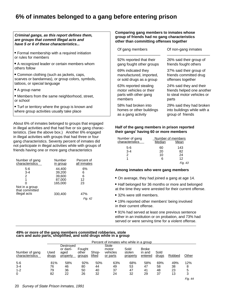## **6% of inmates belonged to a gang before entering prison**

#### **Criminal gangs, as this report defines them, are groups that commit Illegal acts and have 5 or 6 of these characteristics...**

- Formal membership with a required initiation or rules for members
- A recognized leader or certain members whom others follow
- Common clothing (such as jackets, caps, scarves or bandannas), or group colors, symbols, tattoos, or special language
- A group name
- Members from the same neighborhood, street, or school
- Turf or territory where the group is known and where group activities usually take place

About 6% of inmates belonged to groups that engaged in illegal activities and that had five or six gang characteristics. (See the above box.) Another 6% engaged in illegal activities with groups that had three or four gang characteristics. Seventy percent of inmates did not participate in illegal activities while with groups of friends having one or more gang characteristics

| Number of gang                   | Number   | Percent of        |
|----------------------------------|----------|-------------------|
| characteristics                  | in group | all inmates       |
| 5-6                              | 44,400   | 6%                |
| $3 - 4$                          | 39,200   | 6                 |
| 2                                | 39,600   | 6                 |
| 1                                | 87,000   | 12                |
| Not in a group<br>that committed | 165.000  | 23                |
| illegal acts                     | 330,400  | 47%<br>42<br>Fig. |

#### **Comparing gang members to inmates whose group of friends had no gang characteristics other than committing offenses together**

| Of gang members -        | Of non-gang inmates $-$     |
|--------------------------|-----------------------------|
| 92% reported that their  | 26% said their group of     |
| gang fought other groups | friends fought others       |
| 69% indicated they       | 37% said their group of     |
| manufactured, imported,  | friends committed drug      |
| or sold drugs as a group | offenses together           |
| 63% reported stealing    | 24% said they and their     |
| motor vehicles or their  | friends helped one another  |
| parts with other gang    | to steal motor vehicles or  |
| members                  | parts                       |
| 58% had broken into      | 29% said they had broken    |
| homes or other buildings | into buildings while with a |
| as a gang activity       | group of friends            |

#### **Half of the gang members in prison reported their gangs' having 60 or more members**

| Number of gang<br>characteristics | Number of members<br>Median | Mean    |
|-----------------------------------|-----------------------------|---------|
| 5-6                               | 60                          | 143     |
| $3 - 4$                           | 20                          | 82      |
| $\mathcal{P}$                     | 10                          | 24      |
|                                   |                             | 12      |
|                                   |                             | Fig. 43 |

#### **Among inmates who were gang members**

- On average, they had joined a gang at age 14.
- Half belonged for 36 months or more and belonged at the time they were arrested for their current offense.
- 32% were still members.
- 19% reported other members' being involved in their current offense.
- 91% had served at least one previous sentence either in an institution or on probation, and 73% had served or were serving time for a violent offense.

#### **49% or more of the gang members committed robberies, stole cars and auto parts, shoplifted, and sold drugs while in a group**

|                                   | Percent of inmates who while in a group |                                          |                           |                 |                                        |                            |                                   |               |        |         |
|-----------------------------------|-----------------------------------------|------------------------------------------|---------------------------|-----------------|----------------------------------------|----------------------------|-----------------------------------|---------------|--------|---------|
| Number of gang<br>characteristics | Used<br><u>drugs</u>                    | Destroyed<br>or dam-<br>aged<br>property | Fought<br>other<br>groups | Shop-<br>lifted | Stole<br>motor<br>vehicles<br>or parts | Sold<br>stolen<br>property | <b>Broke</b><br>in and<br>entered | Sold<br>drugs | Robbed | Other   |
| $5-6$                             | 81%                                     | 58%                                      | 92%                       | 50%             | 63%                                    | 68%                        | 58%                               | 69%           | 49%    | 12%     |
| $3 - 4$                           | 76                                      | 46                                       | 80                        | 44              | 49                                     | 53                         | 47                                | 58            | 38     | 8       |
| $1 - 2$                           | 79                                      | 36                                       | 50                        | 40              | 37                                     | 47                         | 41                                | 48            | 23     | 5       |
| 0                                 | 82                                      | 22                                       | 26                        | 32              | 24                                     | 32                         | 29                                | 37            | 13     | 3       |
|                                   |                                         |                                          |                           |                 |                                        |                            |                                   |               |        | Fig. 44 |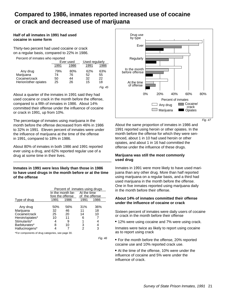## **Compared to 1986, inmates reported increased use of cocaine or crack and decreased use of marijuana**

#### **Half of all inmates in 1991 had used cocaine in some form**

Thirty-two percent had used cocaine or crack on a regular basis, compared to 22% in 1986.

Percent of inmates who reported

|                                                                |                       | Ever used             |                       | Used regularly        |
|----------------------------------------------------------------|-----------------------|-----------------------|-----------------------|-----------------------|
|                                                                | 1991                  | 1986                  |                       | 1986                  |
| Any drug<br>Marijuana<br>Cocaine/crack<br>Herion/other opiates | 79%<br>74<br>50<br>25 | 80%<br>76<br>44<br>26 | 62%<br>52<br>32<br>15 | 63%<br>55<br>22<br>18 |
|                                                                |                       |                       |                       | Fig. 45               |

About a quarter of the inmates in 1991 said they had used cocaine or crack in the month before the offense, compared to a fifth of inmates in 1986. About 14% committed their offense under the influence of cocaine or crack in 1991, up from 10%.

The percentage of inmates using marijuana in the month before the offense decreased from 46% in 1986 to 32% in 1991. Eleven percent of inmates were under the influence of marijuana at the time of the offense in 1991, compared to 18% in 1986.

About 80% of inmates in both 1986 and 1991 reported ever using a drug, and 62% reported regular use of a drug at some time in their lives.

**Inmates in 1991 were less likely than those in 1986 to have used drugs in the month before or at the time of the offense**

\_\_\_\_\_\_\_\_\_\_\_\_\_\_\_\_\_\_\_\_\_\_\_\_\_\_\_\_\_\_\_\_\_\_\_\_\_\_\_\_\_\_\_\_\_\_\_\_

|                 | Percent of inmates using drugs |                  |                |      |
|-----------------|--------------------------------|------------------|----------------|------|
|                 |                                | In the month be- | At the time    |      |
|                 |                                | fore the offense | of the offense |      |
| Type of drug    | 1991                           | 1986             | 1991           | 1986 |
|                 |                                |                  |                |      |
| Any drug        | 50%                            | 56%              | 31%            | 36%  |
| Marijuana       | 32                             | 46               | 11             | 18   |
| Cocaine/crack   | 25                             | 20               | 14             | 10   |
| Heroin/opiates* | 10                             | 11               | 6              |      |
| Stimulants*     |                                | 9                |                |      |
| Barbiturates*   | 8                              | 10               | 3              |      |
| Hallucinogens*  |                                |                  |                | 3    |

\*For components of drug categories, see page 30.

Fig. 46



Fig. 47

About the same proportion of inmates in 1986 and 1991 reported using heroin or other opiates. In the month before the offense for which they were sentenced, about 1 in 10 had used heroin or other opiates, and about 1 in 16 had committed the offense under the influence of these drugs.

#### **Marijuana was still the most commonly used drug**

Inmates in 1991 were more likely to have used marijuana than any other drug. More than half reported using marijuana on a regular basis, and a third had used marijuana in the month before the offense. One in five inmates reported using marijuana daily in the month before their offense.

#### **About 14% of inmates committed their offense under the influence of cocaine or crack**

Sixteen percent of inmates were daily users of cocaine or crack in the month before their offense

12% were using cocaine and 7% were using crack.

Inmates were twice as likely to report using cocaine as to report using crack

- For the month before the offense, 20% reported cocaine use and 10% reported crack use.
- At the time of the offense, 10% were under the influence of cocaine and 5% were under the influence of crack.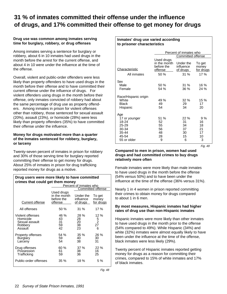## **31 % of inmates committed their offense under the influence of drugs, and 17% committed their offense to get money for drugs**

#### **Drug use was common among inmates serving time for burglary, robbery, or drug offenses**

Among inmates serving a sentence for burglary or robbery, about 6 in 10 inmates had used drugs in the month before the arrest for the current offense, and about 4 in 10 were under the influence at the time of the offense.

Overall, violent and public-order offenders were less likely than property offenders to have used drugs in the month before their offense and to have committed their current offense under the influence of drugs. For violent offenders using drugs in the month before their offense, only inmates convicted of robbery had about the same percentage of drug use as property offenders. Among inmates in prison for violent offenses other than robbery, those sentenced for sexual assault (20%), assault (23%), or homicide (28%) were less likely than property offenders (35%) to have committed their offense under the influence.

#### **Money for drugs motivated more than a quarter of the Inmates sentenced for robbery, burglary, or larceny**

Twenty-seven percent of inmates in prison for robbery and 30% of those serving time for burglary reported committing their offense to get money for drugs. About 25% of inmates in prison for drug trafficking reported money for drugs as a motive.

| Drug users were more likely to have committed<br>crimes that could get them money |                                                                                                                                         |                              |                                                          |  |  |  |
|-----------------------------------------------------------------------------------|-----------------------------------------------------------------------------------------------------------------------------------------|------------------------------|----------------------------------------------------------|--|--|--|
| Percent of inmates who                                                            |                                                                                                                                         |                              |                                                          |  |  |  |
|                                                                                   | Committed offense                                                                                                                       |                              |                                                          |  |  |  |
| Current offense                                                                   | Used drugs<br>in the month<br>Under the<br>To get<br>before the<br>influence<br>money<br><u>for drugs</u><br>offense<br><u>of drugs</u> |                              |                                                          |  |  |  |
| All offenses                                                                      | 50%                                                                                                                                     | $31\%$                       | 17%                                                      |  |  |  |
| Violent offenses<br>Homicide<br>Sexual assault<br>Robbery<br>Assault              | 46 %<br>43<br>31<br>59<br>42                                                                                                            | 28 %<br>28<br>20<br>38<br>23 | 12 %<br>$\begin{array}{c} 5 \\ 2 \\ 27 \end{array}$<br>6 |  |  |  |
| Property offenses<br>Burglary<br>Larceny                                          | 54 %<br>59<br>54                                                                                                                        | 35%<br>40<br>38              | 26 %<br>30<br>31                                         |  |  |  |
| Drug offenses<br>Possession<br>Trafficking                                        | 60%<br>61<br>59                                                                                                                         | 37%<br>38<br>36              | 22%<br>16<br>25                                          |  |  |  |
| Public-order offenses                                                             | 35 %                                                                                                                                    | 18 %                         | 5 %                                                      |  |  |  |

Fig. 48

| to prisoner characteristics                                                      |                                                                                                                                                              |                                        |                                       |  |  |  |  |
|----------------------------------------------------------------------------------|--------------------------------------------------------------------------------------------------------------------------------------------------------------|----------------------------------------|---------------------------------------|--|--|--|--|
|                                                                                  | Percent of inmates who                                                                                                                                       |                                        |                                       |  |  |  |  |
| Characteristic                                                                   | Committed offense<br>Used drugs<br>in the month<br>Under the<br>To get<br>before the<br>influence<br>money<br>offense<br><u>of drugs</u><br><u>for drugs</u> |                                        |                                       |  |  |  |  |
| All inmates                                                                      | 50 %                                                                                                                                                         | 31 %                                   | 17 %                                  |  |  |  |  |
| Sex<br>Male<br>Female                                                            | 50%<br>54 %                                                                                                                                                  | 31%<br>36 %                            | $16\%$<br>24%                         |  |  |  |  |
| Race/Hispanic origin<br>White<br><b>Black</b><br>Hispanic                        | 49 %<br>49<br>54                                                                                                                                             | $32\%$<br>29<br>34                     | 15%<br>17<br>20                       |  |  |  |  |
| Age<br>17 or younger<br>18-24<br>25-29<br>30-34<br>35-44<br>45-54<br>55 or older | 51 %<br>52<br>55<br>56<br>48<br>28<br>9                                                                                                                      | 22%<br>31<br>34<br>37<br>30<br>15<br>6 | 9%<br>16<br>18<br>21<br>17<br>10<br>3 |  |  |  |  |

**Inmates' drug use varied according**

Fig. 49

#### **Compared to men in prison, women had used drugs and had committed crimes to buy drugs relatively more often**

Female inmates were more likely than male inmates to have used drugs in the month before the offense (54% versus 50%) and to have been under the influence at the time of the offense (36% versus 31%).

Nearly 1 in 4 women in prison reported committing their crimes to obtain money for drugs compared to about 1 in 6 men.

#### **By most measures, Hispanic inmates had higher rates of drug use than non-Hispanic inmates**

Hispanic inmates were more likely than other inmates to have used drugs in the month prior to the offense (54% compared to 49%). While Hispanic (34%) and white (32%) inmates were almost equally likely to have been under the influence at the time of the offense, black inmates were less likely (29%).

Twenty percent of Hispanic inmates reported getting money for drugs as a reason for committing their crimes, compared to 15% of white inmates and 17% of black inmates.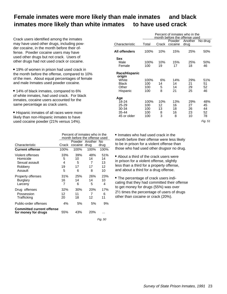## **Female inmates were more likely than male inmates and black inmates more likely than white inmates to have used crack**

Crack users identified among the inmates may have used other drugs, including powder cocaine, in the month before their offense. Powder cocaine users may have used other drugs but not crack. Users of other drugs had not used crack or cocaine.

 19% of women in prison had used crack in the month before the offense, compared to 10% of the men. About equal percentages of female and male Inmates used powder cocaine.

• 14% of black inmates, compared to 6% of white inmates, had used crack. For black inmates, cocaine users accounted for the same percentage as crack users.

 Hispanic inmates of all races were more likely than non-Hispanic inmates to have used cocaine powder (21% versus 14%).

|                                                         | Percent of inmates who in the<br>month before the offense used |              |                   |      |
|---------------------------------------------------------|----------------------------------------------------------------|--------------|-------------------|------|
|                                                         |                                                                |              | Powder Another No |      |
| Characteristic                                          | Crack                                                          | cocaine drug |                   | drug |
| <b>Current offense</b>                                  | 100%                                                           | 100%         | 100%              | 100% |
| Violent offenses                                        | 33%                                                            | 39%          | 48%               | 51%  |
| Homicide                                                | 5                                                              | 10           | 14                | 14   |
| Sexual assault                                          | 4                                                              | 5            | 7                 | 13   |
| Robbery                                                 | 19                                                             | 17           | 17                | 12   |
| Assault                                                 | 5                                                              | 6            | 8                 | 10   |
| Property offenses                                       | 31%                                                            | 25%          | 26%               | 23%  |
| <b>Burglary</b>                                         | 16                                                             | 14           | 14                | 10   |
| Larceny                                                 | 7                                                              | 6            | 5                 | 4    |
| Drug offenses                                           | 32%                                                            | 30%          | 20%               | 17%  |
| Possession                                              | 12                                                             | 11           | 7                 | 6    |
| Trafficking                                             | 20                                                             | 18           | 12                | 11   |
| Public-order offenses                                   | 4%                                                             | 5%           | 5%                | 9%   |
| <b>Committed current offense</b><br>for money for drugs | 55%                                                            | 43%          | 20%               |      |

Fig. 50

|                              | Percent of inmates who in the<br>month before the offense used |           |           |           |                 |
|------------------------------|----------------------------------------------------------------|-----------|-----------|-----------|-----------------|
|                              |                                                                |           | Powder    |           | Another No drug |
| Characteristic               | Total                                                          | Crack     | cocaine   | drug      |                 |
| All offenders                | 100%                                                           | 10%       | 15%       | 25%       | 50%             |
| <b>Sex</b><br>Male<br>Female | 100%<br>100                                                    | 10%<br>19 | 15%<br>17 | 25%<br>18 | 50%<br>46       |
| Race/Hispanic<br>origin      |                                                                |           |           |           |                 |
| White                        | 100%                                                           | 6%        | 14%       | 29%       | 51%             |
| <b>Black</b>                 | 100                                                            | 14        | 14        | 21        | 51              |
| Other                        | 100                                                            | 5         | 14        | 29        | 52              |
| Hispanic                     | 100                                                            | 8         | 21        | 25        | 46              |
| Age                          |                                                                |           |           |           |                 |
| 18-24                        | 100%                                                           | 10%       | 13%       | 29%       | 48%             |
| 25-29                        | 100                                                            | 12        | 16        | 27        | 45              |
| 30-34                        | 100                                                            | 13        | 18        | 26        | 44              |
| 35-44                        | 100                                                            | 8         | 16        | 23        | 52              |
| 45 or older                  | 100                                                            | 3         | 8         | 10        | 78              |
|                              |                                                                |           |           |           | Fig. 51         |

• Inmates who had used crack in the month before their offense were less likely to be in prison for a violent offense than those who had used other drugsor no drug.

 About a third of the crack users were in prison for a violent offense, slightly less than a third for a property offense, and about a third for a drug offense.

 The percentage of crack users indicating that they had committed their offense to get money for drugs (55%) was over 2½ times the percentage of users of drugs other than cocaine or crack (20%).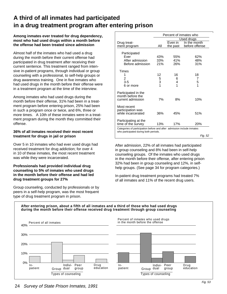## **A third of all inmates had participated in a drug treatment program after entering prison**

#### **Among inmates ever treated for drug dependency, most who had used drugs within a month before the offense had been treated since admission**

Almost half of the inmates who had used a drug during the month before their current offense had participated in drug treatment after receiving their current sentence. This treatment ranged from intensive in-patient programs, through individual or group counseling with a professional, to self-help groups or drug awareness training. One in five inmates who had used drugs in the month before their offense were in a treatment program at the time of the interview.

Among inmates who had used drugs during the month before their offense, 31% had been in a treatment program before entering prison, 25% had been in such a program once or twice, and 6%, three or more times. A 10th of these inmates were in a treatment program during the month they committed their offense.

#### **36% of all inmates received their most recent treatment for drugs in jail or prison**

Over 5 in 10 inmates who had ever used drugs had received treatment for drug addiction; for over 4 in 10 of these inmates, the most recent treatment was while they were incarcerated.

#### **Professionals had provided individual drug counseling to 5% of inmates who used drugs in the month before their offense and had led drug treatment groups for 27%**

Group counseling, conducted by professionals or by peers in a self-help program, was the most frequent type of drug treatment program in prison.

|                                                                        |             |          | Percent of inmates who |
|------------------------------------------------------------------------|-------------|----------|------------------------|
|                                                                        |             |          | Used drugs             |
| Drug treat-                                                            |             | Even in  | In the month           |
| ment program                                                           | All         | the past | before offense         |
|                                                                        |             |          |                        |
| Participated                                                           |             |          |                        |
| Fver                                                                   | 43%         | 55%      | 62%                    |
| After admission                                                        | 33%         | 41%      | 48%                    |
| Before admission                                                       | 21%         | 26%      | 31%                    |
|                                                                        |             |          |                        |
| Times                                                                  |             |          |                        |
| 1                                                                      | 12          | 16       | 18                     |
| 2                                                                      | 5<br>3<br>1 | 6        | 7                      |
| $3 - 5$                                                                |             | 4        | $\frac{5}{1}$          |
| 6 or more                                                              |             | 1        |                        |
| Participated in the                                                    |             |          |                        |
| month before the                                                       |             |          |                        |
| current admission                                                      | 7%          | 8%       | 10%                    |
|                                                                        |             |          |                        |
| Most recent                                                            |             |          |                        |
| participation was<br>while incarcerated                                | 36%         | 45%      | 51%                    |
|                                                                        |             |          |                        |
| Participating at the                                                   |             |          |                        |
| time of the survey                                                     | 13%         | 17%      | 20%                    |
| Categories of participation before and after admission include inmates |             |          |                        |
| who participated during both periods.                                  |             |          |                        |
|                                                                        |             |          | Fia. 52                |

After admission, 22% of all inmates had participated in group counseling and 8% had been in self-help counseling groups. Of the inmates who used drugs in the month before their offense, after entering prison 32% had been in group counseling and 12%, in selfhelp groups. (See page 34 for program categories.)

In-patient drug treatment programs had treated 7% of all inmates and 11% of the recent drug users.

#### **After entering prison, about a fifth of all inmates and a third of those who had used drugs during the month before their offense received drug treatment through group counseling**

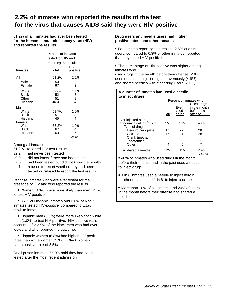## **2.2% of inmates who reported the results of the test for the virus that causes AIDS said they were HlV-positive**

**51.2% of all inmates had ever been tested for the human immunodeficiency virus (HIV) and reported the results**

|                   | Percent of inmates    |                         |  |
|-------------------|-----------------------|-------------------------|--|
|                   | tested for HIV and    |                         |  |
|                   | reporting the results |                         |  |
| Inmates           | Total                 | HIV-<br><u>positive</u> |  |
|                   |                       |                         |  |
| All               | 51.2%                 | 2.2%                    |  |
| Male              | 50                    | 2                       |  |
| Female            | 67                    | 3                       |  |
| White             | 52.6%                 | 1.1%                    |  |
| Black             | 52                    | 3                       |  |
| Other             | 51<br>46.0            | .9<br>4                 |  |
| Hispanic          |                       |                         |  |
| Male              |                       |                         |  |
| White             | 51.7%                 | 1.0%                    |  |
| Black<br>Hispanic | 51<br>45              | 3<br>4                  |  |
| Female            |                       |                         |  |
| White             | 68.2%                 | 1.9%                    |  |
| Black             | 67                    | 4                       |  |
| Hispanic          | 63                    | 7                       |  |
|                   |                       | Fig. 54                 |  |

Among all inmates

- 51.2% reported HlV-test results
- 32.2 had never been tested
- 9.0 did not know if they had been tested
- 7.5 had been tested but did not know the results
- .1 refused to report whether they had been tested or refused to report the test results.

Of those inmates who were ever tested for the presence of HIV and who reported the results

 Women (3.3%) were more likely than men (2.1%) to test HlV-positive.

 3.7% of Hispanic inmates and 2.6% of black inmates tested HlV-positive, compared to 1.1% of white inmates.

 Hispanic men (3.5%) were more likely than white men (1.0%) to test HlV-positive. HlV-positive tests accounted for 2.5% of the black men who had ever tested and who reported the outcome.

 Hispanic women (6.8%) had higher HlV-positive rates than white women (1.9%). Black women had a positive rate of 3.5%.

Of all prison inmates, 55.9% said they had been tested after the most recent admission.

#### **Drug users and needle users had higher positive rates than other inmates**

 For inmates reporting test results, 2.5% of drug users, compared to 0.8% of other inmates, reported that they tested HlV-positive.

 The percentage of HlV-positive was higher among inmates who

used drugs in the month before their offense (2.8%), used needles to inject drugs intravenously (4.9%), and shared needles with other drug users (7.1%).

#### **A quarter of inmates had used a needle to inject drugs**

|                                                 | Percent of inmates who |                       |                                                     |
|-------------------------------------------------|------------------------|-----------------------|-----------------------------------------------------|
|                                                 | All                    | Even<br>used<br>drugs | Used drugs<br>in the month<br>before the<br>offense |
| Ever injected a drug<br>for nonmedical purposes | 25%                    | 31%                   | 40%                                                 |
| Type of drug<br>Heoin/other opiate              | 17                     | 22                    | 28                                                  |
| Cocaine                                         | 16                     | 21                    | 28                                                  |
| Crank (metham-<br>phetamine)<br>Other           | 6<br>4                 | 8<br>5                | 11                                                  |
| Ever shared a needle                            | 12%                    | 15%                   | 20%<br>Fia. 55                                      |

 40% of inmates who used drugs in the month before their offense had in the past used a needle to inject drugs.

• 1 in 6 inmates used a needle to inject heroin or other opiates, and 1 in 6, to inject cocaine.

 More than 10% of all inmates and 20% of users in the month before their offense had shared a needle.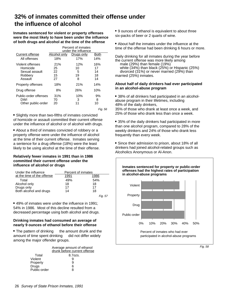## **32% of inmates committed their offense under the influence of alcohol**

**Inmates sentenced for violent or property offenses were the most likely to have been under the influence of both drugs and alcohol at the time of the offense**

|                                                                      | Percent of inmates<br>under the influence |                           |                             |
|----------------------------------------------------------------------|-------------------------------------------|---------------------------|-----------------------------|
| Current offense                                                      | Alcohol only                              | Drugs only                | Both                        |
| All offenses                                                         | 18%                                       | 17%                       | 14%                         |
| Violent offenses<br>Homicide<br>Sexual assault<br>Robbery<br>Assault | 21%<br>25<br>22<br>15<br>27               | 12%<br>10<br>5<br>19<br>8 | 16%<br>17<br>14<br>18<br>14 |
| <b>Property offenses</b>                                             | 18%                                       | 21%                       | 14%                         |
| Drug offense                                                         | 8%                                        | 26%                       | 10%                         |
| Public-order offenses<br>DWI<br>Other public-order                   | 31%<br>70<br>20                           | 10%<br>3<br>11            | 9%<br>8<br>10               |

Fig. 56

 Slightly more than two-fifths of inmates convicted of homicide or assault committed their current offense under the influence of alcohol or of alcohol with drugs.

 About a third of inmates convicted of robbery or a property offense were under the influence of alcohol at the time of their current offense. Inmates serving a sentence for a drug offense (18%) were the least likely to be using alcohol at the time of their offense.

#### **Relatively fewer inmates in 1991 than in 1986 committed their current offense under the influence of alcohol or drugs**

| Under the influence        | Percent of inmates |      |
|----------------------------|--------------------|------|
| at the time of the offense | 1991               | 1986 |
| Total                      | 49%                | 54%  |
| Alcohol only               | 18                 | 18   |
| Drugs only                 | 17                 | 17   |
| Both alcohol and drugs     | 14                 | 18   |
|                            |                    |      |

• 49% of inmates were under the influence in 1991; 54% in 1986. Most of this decline resulted from a decreased percentage using both alcohol and drugs.

#### **Drinking inmates had consumed an average of nearly 9 ounces of ethanol before their offense**

 $\bullet$  The pattern of drinking  $-$  the amount drunk and the amount of time spent drinking  $-$  did not differ widely among the major offender groups.

| Average amount of ethanol<br>drunk before current offense |  |
|-----------------------------------------------------------|--|
| Total<br>8.7ozs.                                          |  |
| Violent                                                   |  |
| Property<br>9                                             |  |
| Drugs<br>6                                                |  |
| Public-order<br>я                                         |  |

 9 ounces of ethanol is equivalent to about three six-packs of beer or 2 quarts of wine.

 About half the inmates under the influence at the time of the offense had been drinking 6 hours or more.

Daily drinking for all inmates during the year before the current offense was more likely among —<br>— male (29%) than female (19%)<br>— white (34%) than black (25%) or Hispanic (25%)

 $-$  divorced (31%) or never married (29%) than married (25%) inmates.

#### **About half of daily drinkers had ever participated in an alcohol-abuse program**

 38% of all drinkers had participated in an alcoholabuse program in their lifetimes, including 48% of the daily drinkers,

35% of those who drank at least once a week, and 25% of those who drank less than once a week.

 35% of the daily drinkers had participated in more than one alcohol program, compared to 28% of the weekly drinkers and 24% of those who drank less frequently than every week.

 Since their admission to prison, about 18% of all drinkers had joined alcohol-related groups such as Alcoholics Anonymous or Al-Anon.



Fig. 58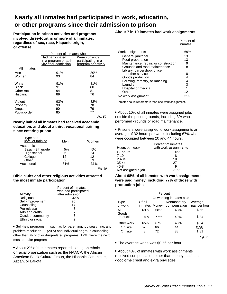## **Nearly all inmates had participated in work, education, or other programs since their admission to prison**

**Participation in prison activities and programs involved three-fourths or more of all inmates, regardless of sex, race, Hispanic origin, or offense**

|              | Percent of inmates who |                     |  |
|--------------|------------------------|---------------------|--|
|              | Had participated       | Were currently      |  |
|              | in a program or acti-  | participating in a  |  |
|              | vity after admission   | program or activity |  |
| All inmates  |                        |                     |  |
| Men          | 91%                    | 80%                 |  |
| Women        | 93                     | 84                  |  |
|              |                        |                     |  |
| White        | 91%                    | 81%                 |  |
| <b>Black</b> | 91                     | 80                  |  |
| Other race   | 94                     | 81                  |  |
| Hispanic     | 89                     | 76                  |  |
|              |                        |                     |  |
| Violent      | 93%                    | 82%                 |  |
| Property     | 90                     | 78                  |  |
| Drugs        | 90                     | 79                  |  |
| Public-order | 85                     | 77                  |  |
|              |                        | Fig. 59             |  |

**Nearly half of all inmates had received academic education, and about a third, vocational training since entering prison**

| Type and<br>level of training | Men | Women |
|-------------------------------|-----|-------|
| Academic                      |     |       |
| Basic <9th grade              | 5%  | 5%    |
| High school                   | 26  | 24    |
| College                       | 12  | 12    |
| Other                         | 2   | 3     |
| Vocational                    | 31% | 31%   |
|                               |     |       |

#### Fig. 60

#### **Bible clubs and other religious activities attracted the most inmate participation**

|                   | Percent of inmates<br>who had participated |
|-------------------|--------------------------------------------|
| <b>Activity</b>   | after admission                            |
| Religious         | 32%                                        |
| Self-improvement  | 20                                         |
| Counseling        | 17                                         |
| Pre-release       | 8                                          |
| Arts and crafts   | 7                                          |
| Outside community | 3                                          |
| Ethnic or racial  | 2                                          |

• Self-help programs - such as for parenting, job searching, and problem resolution - (20%) and individual or group counseling other than alcohol or drug-related programs (17%) were the next most popular programs.

• About 2% of the inmates reported joining an ethnic or racial organization such as the NAACP, the African American Black Culture Group, the Hispanic Committee, Aztlan, or Lakota.

#### **About 7 in 10 inmates had work assignments**

|                                      | Percent of<br>inmates |
|--------------------------------------|-----------------------|
|                                      |                       |
| Work assignments                     | 69%                   |
| General janitorial                   | 13                    |
| Food preparation                     | 13                    |
| Maintenance, repair, or construction | 9                     |
| Grounds and road maintenance         | 8                     |
| Library, barbershop, office          |                       |
| or other service                     | 8                     |
| Goods production                     | 4                     |
| Farming, forestry, or ranching       | 4                     |
| Laundry                              | 3                     |
| Hospital or medical                  |                       |
| Other                                | 12                    |
| No work assignment                   | 31%                   |
|                                      |                       |

Inmates could report more than one work assignment.

 About 10% of all inmates were assigned jobs outside the prison grounds, including 3% who performed grounds or road maintenance.

• Prisoners were assigned to work assignments an average of 32 hours per week, including 67% who were occupied between 20 and 44 hours.

|                    | Percent of inmates    |
|--------------------|-----------------------|
| Hours per week     | with work assignments |
| >7 hours           | 6%                    |
| $7 - 19$           | 8                     |
| 20-34              | 19                    |
| $35 - 44$          | 27                    |
| 45-84              | 9                     |
| Not assigned a job | 31%                   |

#### **About 68% of all inmates with work assignments were paid money, including 77% of those with production jobs**

|                 |                         |     | Percent                     |                         |
|-----------------|-------------------------|-----|-----------------------------|-------------------------|
|                 |                         |     |                             |                         |
| Type<br>of work | Of all<br>inmates Money |     | Nonmonetary<br>compensation | Average<br>pay per hour |
| All<br>Goods    | 69%                     | 68% | 43%                         | \$.56                   |
| production      | 4%                      | 77% | 49%                         | \$.84                   |
| Other work      | 65%                     | 67% | 43%                         | \$.54                   |
| On site         | 57                      | 66  | 44                          | 0.38                    |
| Off site        | 8                       | 72  | 38                          | 1.81                    |

Fig. 61

The average wage was \$0.56 per hour.

 About 43% of inmates with work assignments received compensation other than money, such as good-time credit and extra privileges.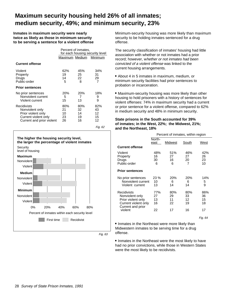## **Maximum security housing held 26% of all inmates; medium security, 49%; and minimum security, 23%**

**Inmates in maximum security were nearly twice as likely as those in minimum security to be serving a sentence for a violent offense**

|                                                                                                           | Percent of inmates,<br>for each housing security level |                             |                             |
|-----------------------------------------------------------------------------------------------------------|--------------------------------------------------------|-----------------------------|-----------------------------|
|                                                                                                           | Maximum Medium                                         |                             | Minimum                     |
| <b>Current offense</b>                                                                                    |                                                        |                             |                             |
| Violent<br>Property<br>Drugs<br>Public-order                                                              | 62%<br>19<br>14<br>5                                   | 45%<br>25<br>22<br>8        | 34%<br>31<br>29<br>7        |
| <b>Prior sentences</b>                                                                                    |                                                        |                             |                             |
| No prior sentences<br>Nonviolent current<br>Violent current                                               | 20%<br>5<br>15                                         | <b>20%</b><br>7<br>13       | 18%<br>9<br>9               |
| Recidivists<br>Nonviolent only<br>Prior violent only<br>Current violent only<br>Current and prior violent | 80%<br>21<br>10<br>23<br>26                            | 80%<br>32<br>14<br>19<br>16 | 82%<br>43<br>12<br>15<br>12 |

0% 20% 40% 60% 80% First time Recidivist **Medium Minimum** Nonviolent Violent Percent of inmates within each security level **Security** level of housing **The higher the housing security level, the larger the percentage of violent inmates**  Nonviolent Violent Nonviolent Violent **Maximum**

Fig. 63

Fig. 62

Minimum-security housing was more likely than maximum security to be holding inmates sentenced for a drug offense.

The security classification of inmates' housing had little association with whether or not inmates had a prior record; however, whether or not inmates had been convicted of a violent offense was linked to the current housing arrangements.

 About 4 in 5 inmates in maximum, medium, or minimum security facilities had prior sentences to probation or incarceration.

 Maximum-security housing was more likely than other housing to hold prisoners with a history of sentences for violent offenses: 74% in maximum security had a current or prior sentence for a violent offense, compared to 62% in medium security and 48% in minimum security.

#### **State prisons in the South accounted for 39% of inmates; in the West, 22%; the Midwest, 21%; and the Northeast, 18%**

|                                                                                                              | Percent of inmates, within region  |                             |                             |                             |
|--------------------------------------------------------------------------------------------------------------|------------------------------------|-----------------------------|-----------------------------|-----------------------------|
|                                                                                                              | North-<br>Midwest<br>South<br>east |                             |                             | West                        |
| <b>Current offense</b>                                                                                       |                                    |                             |                             |                             |
| Violent<br>Property<br>Drugs<br>Public-order                                                                 | 48%<br>16<br>30<br>6               | 51%<br>27<br>16<br>6        | 46%<br>27<br>20<br>7        | 42%<br>26<br>23<br>10       |
| <b>Prior sentences</b>                                                                                       |                                    |                             |                             |                             |
| No prior sentences<br>Nonviolent current<br>Violent current                                                  | $23\%$<br>10<br>13                 | <b>20%</b><br>6<br>14       | 20%<br>6<br>14              | 14%<br>5<br>9               |
| Recidivists<br>Nonviolent only<br>Prior violent only<br>Current violent only<br>Current and prior<br>violent | 77%<br>27<br>13<br>16<br>22        | 80%<br>29<br>11<br>22<br>17 | 80%<br>33<br>12<br>19<br>16 | 86%<br>36<br>15<br>18<br>17 |
|                                                                                                              |                                    |                             |                             | Fia. 64                     |

• Inmates in the Northeast were more likely than Midwestern inmates to be serving time for a drug offense.

• Inmates in the Northeast were the most likely to have had no prior convictions, while those in Western States were the most likely to be recidivists.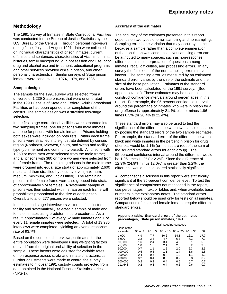#### **Methodology**

The 1991 Survey of Inmates in State Correctional Facilities was conducted for the Bureau of Justice Statistics by the U.S. Bureau of the Census. Through personal interviews during June, July, and August 1991, data were collected on individual characterlstics of prison inmates, current offenses and sentences, characterlstics of victims, criminal histories, family background, gun possession and use, prior drug and alcohol use and treatment, educational programs and other services provided while in prison, and other personal characteristics. Similar surveys of State prison inmates were conducted in 1974, 1979, and 1986.

#### **Sample design**

The sample for the 1991 survey was selected from a universe of 1,239 State prisons that were enumerated in the 1990 Census of State and Federal Adult Correctional Facilities or had been opened after completion of the census. The sample design was a stratified two-stage selection.

In the first stage correctional facilities were separated into two sampling frames: one for prisons with male inmates and one for prisons with female inmates. Prisons holding both sexes were included on both lists. Within each frame, prisons were stratified into eight strata defined by census region (Northeast, Midwest, South, and West) and facility type (confinement and community-based). All prisons with 1,950 or more men were selected from the male frame; and all prisons with 380 or more women were selected from the female frame. The remaining prisons in the male frame were grouped into equal size strata of approximately 2,600 males and then stratified by security level (maximum, medium, minimum, and unclassified). The remaining prisons in the female frame were also grouped into strata of approximately 574 females. A systematic sample of prisons was then selected within strata on each frame with probabilities proportional to the size of each prison. Overall, a total of 277 prisons were selected.

In the second stage interviewers visited each selected facility and systematically selected a sample of male and female inmates using predetermined procedures. As a result, approximately 1 of every 52 male inmates and 1 of every 11 female inmates were selected. A total of 13,986 interviews were completed, yielding an overall response rate of 93.7%.

Based on the completed interviews, estimates for the entire population were developed using weighting factors derived from the original probability of selection in the sample. These factors were adjusted for variable rates of nonresponse across strata and inmate characteristics. Further adjustments were made to control the survey estimates to midyear 1991 custody counts projected from data obtained in the National Prisoner Statistics series (NPS-1).

#### **Accuracy of the estimates**

The accuracy of the estimates presented in this report depends on two types of error: sampling and nonsampling. Sampling error is the variation that may occur by chance because a sample rather than a complete enumeration of the population was conducted. Nonsampling error can be attributed to many sources, such as non-response, differences in the interpretation of questions among inmates, recall difficulties, and processing errors. In any survey the full extent of the non-sampling error is never known. The sampling error, as measured by an estimated standard error, varies by the size of the estimate and the size of the base population. Estimates of the standard errors have been calculated for the 1991 survey. (See appendix table.) These estimates may be used to construct confidence intervals around percentages in this report. For example, the 95-percent confidence interval around the percentage of inmates who were in prison for a drug offense is approximately 21.4% plus or minus 1.96 times 0.5% (or 20.4% to 22.4%).

These standard errors may also be used to test the significance of the difference between two sample statistics by pooling the standard errors of the two sample estimates. For example, the standard error of the difference between black and white inmates in the percent in prison for drug offenses would be 1.1% (or the square root of the sum of the squared standard errors for each group). The 95-percent confidence interval around the difference would be 1.96 times 1.1% (or 2.2%). Since the difference of 12.9% (24.9% minus 12.0%) is greater than 2.2%, the difference would be considered statistically significant.

All comparisons discussed in this report were statistically significant at the 95-percent confidence level. To test the significance of comparisons not mentioned in the report, use percentages in text or tables and, when available, base numbers in the explanatory notes. The standard errors reported below should be used only for tests on all inmates. Comparisons of male and female inmates require different standard errors.

| Appendix table. Standard errors of the estimated<br>percentages, State prison inmates, 1991 |         |         |                              |          |          |      |
|---------------------------------------------------------------------------------------------|---------|---------|------------------------------|----------|----------|------|
|                                                                                             |         |         | <b>Estimated percentages</b> |          |          |      |
| Base of the<br>estimate                                                                     | 98 or 2 | 95 or 5 | 90 or 10                     | 80 or 20 | 70 or 30 | 50   |
| 1.000                                                                                       | 4.9     | 7.7     | 10.6                         | 14.1     | 16.2     | 17.7 |
| 5.000                                                                                       | 2.2     | 3.4     | 4.7                          | 6.3      | 7.2      | 7.9  |
| 10.000                                                                                      | 1.6     | 2.4     | 3.4                          | 4.5      | 5.1      | 5.6  |
| 25.000                                                                                      | 1.0     | 1.5     | 2.1                          | 2.8      | 3.2      | 3.5  |
| 50.000                                                                                      | 0.7     | 1.1     | 1.5                          | 2.0      | 2.3      | 2.5  |
| 100.000                                                                                     | 0.5     | 0.8     | 1.1                          | 1.4      | 1.6      | 1.8  |
| 200,000                                                                                     | 0.4     | 0.5     | 0.8                          | 1.0      | 1.1      | 1.2  |
| 400.000                                                                                     | 0.2     | 0.4     | 0.5                          | 0.7      | 0.8      | 0.9  |
| 600.000                                                                                     | 0.2     | 0.3     | 0.4                          | 0.6      | 0.7      | 0.7  |
| 711.643                                                                                     | 0.2     | 0.3     | 0.4                          | 0.5      | 0.6      | 0.7  |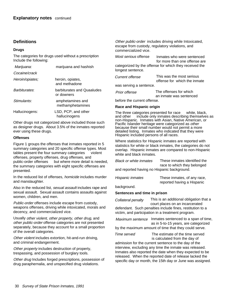#### **Definitions**

#### **Drugs**

The categories for drugs used without a prescription Include the following:

| Marijuana:           | marijuana and hashish                    |
|----------------------|------------------------------------------|
| Cocaine/crack        |                                          |
| Heroin/opiates;      | heroin, opiates,<br>and methadone        |
| <b>Barbiturates:</b> | barbiturates and Quaaludes<br>or downers |
| Stimulants:          | amphetamines and<br>methamphetamines     |
| Hallucinogens:       | LSD, PCP, and other<br>hallucinogens     |

Other drugs not categorized above included those such as designer drugs. About 3.5% of the inmates reported ever using these drugs.

#### **Offenses**

Figure 1 groups the offenses that inmates reported in 5 summary categories and 20 specific offense types. Most tables present the four summary categories - violent offenses, property offenses, drug offenses, and public-order offenses - but where more detail is needed, the summary categories with eight specific offenses are presented.

In the reduced list of offenses, homicide includes murder and manslaughter.

Also in the reduced list, sexual assault includes rape and sexual assault. Sexual assault contains assaults against women, children, and men.

Public-order offenses include escape from custody, weapons offenses, driving while intoxicated, morals and decency, and commercialized vice.

Usually other violent, other property, other drug, and other public-order offense categories are not presented separately, because they account for a small proportion of the overall categories.

Other violent includes extortion, hit-and-run driving, and criminal endangerment.

Other property includes destruction of property, trespassing, and possession of burglary tools.

Other drug Includes forged prescriptions, possession of drug paraphernalia, and unspecified drug violations.

Other public-order includes driving while Intoxicated, escape from custody, regulatory violations, and commercialized vice.

Inmates who were sentenced for more than one offense are categorized by the offense for which they received the longest sentence. Most serious offense

This was the most serious offense for which the inmate was serving a sentence. Current offense

| Prior offense               | The offenses for which  |  |  |
|-----------------------------|-------------------------|--|--|
|                             | an inmate was sentenced |  |  |
| before the current offense. |                         |  |  |

#### **Race and Hispanic origin**

The three categories presented for race - white, black, and other - include only inmates describing themselves as non-Hispanic. Inmates with Asian, Native American, or Pacific Islander heritage were categorized as other because their small number would not permit a more detailed listing. Inmates who indicated that they were Hispanic included persons of all races.

Where statistics for Hispanic inmates are reported with statistics for white or black inmates, the categories do not overlap. Hispanic inmates are compared to non-Hispanic white and black inmates

| <b>Black or white inmates</b>               | These inmates identified the |
|---------------------------------------------|------------------------------|
|                                             | race to which they belonged  |
| and reported having no Hispanic background. |                              |
| Hicponic inmotoc                            | These inmotes of any roos    |

These inmates, of any race, reported having a Hispanic Hispanic inmates

background.

#### **Sentences and time in prison**

This is an additional obligation that a court places on an incarcerated defendant. Such penalties include fines, restitution to a Collateral penalty

victim, and participation in a treatment program.

Maximum sentence Inmates sentenced to a span of time, as in 5-to-15 years, are categorized by the maximum amount of time that they could serve.

The estimate of the time served is calculated from the day of Time served

admission for the current sentence to the day of the interview, excluding any time the inmate was released. Inmates also reported the date when they expected to be released. When the reported date of release lacked the specific day or month, the 15th day or June was assigned.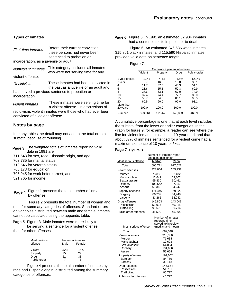#### **Types of Inmates**

| First-time inmates<br>incarceration, as a juvenile or adult. | Before their current conviction,<br>these persons had never been<br>sentenced to probation or |
|--------------------------------------------------------------|-----------------------------------------------------------------------------------------------|
|                                                              |                                                                                               |
| Nonviolent inmates                                           | This category includes all inmates<br>who were not serving time for any                       |
| violent offense.                                             |                                                                                               |
| Recidivists                                                  | These inmates had been convicted in<br>the past as a juvenile or an adult and                 |
| incarceration.                                               | had served a previous sentence to probation or                                                |
| <i>Violent inmates</i>                                       | These inmates were serving time for<br>a violent offense. In discussions of                   |
| convicted of a violent offense.                              | recidivism, violent inmates were those who had ever been                                      |
|                                                              |                                                                                               |

#### **Notes by page**

In many tables the detail may not add to the total or to a subtotal because of rounding.

- **Page 3** The weighted totals of inmates reporting valid<br> **Page 7** Figure 8. data in 1991 are
- 711,643 for sex, race, Hispanic origin, and age
- 703,735 for marital status
- 710,546 for veteran status
- 706,173 for education
- 706,945 for work before arrest, and
- 521,765 for income.

Page 4 Figure 1 presents the total number of inmates, by offense.

Figure 2 presents the total number of women and men for summary categories of offenses. Standard errors on variables distributed between male and female inmates cannot be calculated using the appendix table.

Page 5 Figure 3. Male inmates were more likely to be serving a sentence for a violent offense than for other offenses.

| Most serious | Percent of inmates |     |  |  |
|--------------|--------------------|-----|--|--|
| offense      | Male<br>Female     |     |  |  |
| Violent      | 47%                | 32% |  |  |
| Property     | 25                 | 29  |  |  |
| Drug         | 21                 | 33  |  |  |
| Public-order |                    |     |  |  |

Figure 4 presents the total number of inmates by race and Hispanic origin, distributed among the summary categories of offenses.

Page 6 Figure 5. In 1991 an estimated 62,904 inmates had a sentence to life in prison or to death.

Figure 6. An estimated 246,636 white inmates, 315,861 black inmates, and 115,590 Hispanic inmates provided valid data on sentence Iength.

| "<br>г<br>r |  |
|-------------|--|
|             |  |

|                | Cumulative percent of inmates |          |         |              |  |
|----------------|-------------------------------|----------|---------|--------------|--|
|                | Violent                       | Property | Drug    | Public-order |  |
|                |                               |          |         |              |  |
| 1 year or less | 1.0%                          | 4.4%     | 4.5%    | 12.0%        |  |
| 2 year         | 3.7                           | 16.8     | 15.8    | 30.1         |  |
| 4              | 11.7                          | 37.5     | 40.3    | 51.1         |  |
| 6              | 21.6                          | 55.1     | 59.3    | 69.9         |  |
| 8              | 27.6                          | 63.1     | 67.0    | 74.9         |  |
| 10             | 37.4                          | 74.4     | 77.7    | 83.0         |  |
| 15             | 50.7                          | 84.5     | 86.1    | 90.5         |  |
| 20             | 60.5                          | 90.0     | 92.0    | 93.1         |  |
| More than      |                               |          |         |              |  |
| 20 years       | 100.0                         | 100.0    | 100.0   | 100.0        |  |
| Number         | 323,064                       | 171.446  | 146.803 | 46,590       |  |

A cumulative percentage is one that at each Ievel includes the subtotal from the lower or earlier categories. In the graph for figure 9, for example, a reader can see where the line for violent inmates crosses the 10-year mark and that about 37% of inmates sentenced for a violent crime had a maximum sentence of 10 years or less.

#### **Page 7** Figure 8.

|                       | Number of inmates repor-<br>ting sentence length |         |
|-----------------------|--------------------------------------------------|---------|
| Most serious offense  | Median                                           | Mean    |
| Total                 | 690,721                                          | 627,522 |
| Violent offenses      | 323.064                                          | 265,932 |
| Murder                | 73,838                                           | 32,432  |
| Manslaughter          | 12.642                                           | 12,302  |
| Sexual assault        | 65.830                                           | 60.461  |
| Robbery               | 102,642                                          | 97,357  |
| Assault               | 56.313                                           | 54.247  |
| Property offenses     | 171,446                                          | 169,822 |
| <b>Burglary</b>       | 86.237                                           | 84.948  |
| Larceny               | 33,265                                           | 33,242  |
| Drug offenses         | 146.803                                          | 143.041 |
| Possession            | 51,925                                           | 50,315  |
| Trafficking           | 91.690                                           | 89.716  |
| Public-order offenses | 46.590                                           | 45.994  |

| Most serious offense  | Number of inmates<br>reporting time<br>served to interview<br>(median and mean) |
|-----------------------|---------------------------------------------------------------------------------|
| Total                 | 682,540                                                                         |
| Violent offenses      | 318,366                                                                         |
| Murder                | 71.634                                                                          |
| Manslaughter          | 12.693                                                                          |
| Sexual assault        | 64,884                                                                          |
| Robbery               | 101,686                                                                         |
| Assault               | 55.664                                                                          |
| Property offenses     | 169,052                                                                         |
| <b>Burglary</b>       | 84.759                                                                          |
| Larceny               | 33,118                                                                          |
| Drug offenses         | 145,654                                                                         |
| Possession            | 51.731                                                                          |
| Trafficking           | 90,777                                                                          |
| Public-order offenses | 46.727                                                                          |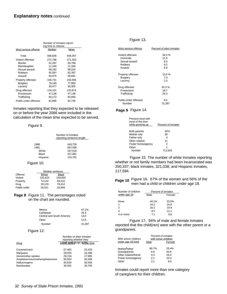|                       | Number of inmates report-<br>ing time to release |         |
|-----------------------|--------------------------------------------------|---------|
| Most serious offense  | Median                                           | Mean    |
| Total                 | 608,836                                          | 606,357 |
| Violent offenses      | 272,796                                          | 271,453 |
| Murder                | 51,287                                           | 50,766  |
| Manslaughter          | 11,184                                           | 11,184  |
| Sexual assault        | 58,182                                           | 58,016  |
| Robbery               | 92,587                                           | 92,397  |
| Assault               | 49.975                                           | 49,691  |
| Property offenses     | 156,731                                          | 155,994 |
| Burglary              | 78,249                                           | 77,983  |
| Larceny               | 30.477                                           | 30,300  |
| Drug offenses         | 134,101                                          | 133,874 |
| Possession            | 47,138                                           | 47,138  |
| Trafficking           | 84,172                                           | 83,945  |
| Public-order offenses | 42.899                                           | 42.738  |

Inmates reporting that they expected to be released on or before the year 2066 were included in the calculation of the mean time expected to be served.

#### Figure 9.

|              | Number of inmates<br>reporting sentence length |  |
|--------------|------------------------------------------------|--|
|              |                                                |  |
| 1986         | 443,726                                        |  |
| 1991         | 697,596                                        |  |
| White        | 247,516                                        |  |
| <b>Black</b> | 317,881                                        |  |
| Hispanic     | 115,791                                        |  |

#### Figure 10.

|              | Median sentence |              |
|--------------|-----------------|--------------|
| Offense      | White           | <b>Black</b> |
| Violent      | 120.422         | 149.003      |
| Property     | 74.144          | 69.210       |
| Drug         | 29.129          | 78.412       |
| Public-order | 20,021          | 16.584       |

#### Page 8 Figure 11. The percentages noted on the chart are rounded.

| Mexico                    | 47.1%  |
|---------------------------|--------|
| Caribbean                 | 26.3   |
| Central and South America | 14.0   |
| Other                     | 12.6   |
| Number                    | 31.287 |

#### Figure 12.

|                               | Number of alien inmates<br>reporting whether they |        |
|-------------------------------|---------------------------------------------------|--------|
| Drug                          | Morad used drugs in the time                      |        |
| Cocaine/crack                 | 27.465                                            | 23.433 |
| Marijuana                     | 29,055                                            | 25,266 |
| Heroin/other opiates          | 29,154                                            | 27,985 |
| Amphetamines/methamphetamines | 30,920                                            | 30,468 |
| Hallucinogens                 | 30.829                                            | 30,556 |
| <b>Barbiturates</b>           | 30,932                                            | 30,750 |

#### Figure 13.

| Most serious offense  | Percent of alien inmates |
|-----------------------|--------------------------|
| Violent offenses      | 34.5%                    |
| Homicide              | 11.9                     |
| Sexual assault        | 6.0                      |
| Robbery               | 82                       |
| Assault               | 6.8                      |
| Property offenses     | 13.0%                    |
| Burglary              | 7.9                      |
| Larceny               | 2.3                      |
| Drug offenses         | 45.3%                    |
| Possession            | 19.7                     |
| Trafficking           | 25.3                     |
| Public-order offenses | 6.5                      |
| Number                | 31,287                   |

#### Page 9 Figure 14.

| Persons lived with<br>most of the time<br>while growing up | Percent of inmates |
|------------------------------------------------------------|--------------------|
| Both parents                                               | 43%                |
| Mother only                                                | 39                 |
| Father only                                                | 4                  |
| Other relative                                             | 11                 |
| Foster home/agency                                         | 2                  |
| Other                                                      | 1                  |
| Number                                                     | 711.643            |
|                                                            |                    |

Figure 15. The number of white Inmates reporting whether or not family members had been incarcerated was 250,337; black inmates, 321,038; and Hispanic inmates, 117,594.

**Page 10** Figure 16. 67% of the women and 56% of the men had a child or children under age 18.

| Number of children | Percent of inmates |        |
|--------------------|--------------------|--------|
| under age 18       | Male               | Female |
|                    |                    |        |
| None               | 44.1%              | 33.5%  |
|                    | 24.2               | 24.8   |
| 2                  | 16.2               | 19.9   |
| 3                  | 8.5                | 12.1   |
| 4 or more          | 71                 | 9.8    |

Figure 17. 94% of male and female inmates reported that the child(ren) were with the other parent or a grandparent.

|                                          | Percent of inmates<br>with minor children |        |
|------------------------------------------|-------------------------------------------|--------|
| With whom children<br>under age 18 lived | Male                                      | Female |
|                                          |                                           |        |
| Mother/father                            | 89.7%                                     | 25.4%  |
| Grandparents                             | 9.9                                       | 50.6   |
| Other relative/friend                    | 3.3                                       | 24.0   |
| Foster home/agency                       | 2.1                                       | 10.3   |
| Other                                    | 21                                        | 6.0    |

Inmates could report more than one category of caregivers for their children.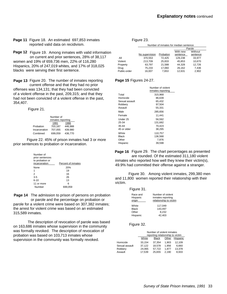Page 11 Figure 18. An estimated 697,853 inmates reported valid data on recidivism.

Page 12 Figure 19. Among inmates with valid information on current and prior sentences, 28% of 38,117 women and 19% of 659,736 men, 22% of 116,280 Hispanics, 20% of 247,019 whites, and 17% of 318,025 blacks were serving their first sentence.

**Page 13** Figure 20. The number of inmates reporting Page 15 current offense and that they had no prior offenses was 134,131; that they had been convicted of a violent offense in the past, 209,315; and that they had not been convicted of a violent offense in the past, 354,407.

Figure 21.

|               | Number of         |         |  |
|---------------|-------------------|---------|--|
|               | inmates reporting |         |  |
|               | 1991              | 1986    |  |
| Probation     | 703.187           | 446.988 |  |
| Incarceration | 707.055           | 439.980 |  |
| Combined      | 699.059           | 436.770 |  |

Figure 22. 45% of prison inmates had 3 or more prior sentences to probation or incarceration.

| Number of<br>prior sentences<br>to probation or<br>incarceration | Percent of inmates |
|------------------------------------------------------------------|--------------------|
| None                                                             | 20%                |
| 1                                                                | 19                 |
| 2                                                                | 16                 |
| $3-5$                                                            | 26                 |
| $6 - 10$                                                         | 13                 |
| 11 or more                                                       | 6                  |
| Number                                                           | 699,059            |

**Page 14** The admission to prison of persons on probation or parole and the percentage on probation or parole for a violent crime were based on 307,382 inmates; the arrest for violent crime was based on an estimated 315,589 inmates.

The description of revocation of parole was based on 163,686 inmates whose supervision in the community was formally revoked. The description of revocation of probation was based on 103,713 inmates whose supervision in the community was formally revoked.

#### Figure 23.

|              | Number of inmates for median sentence |           |          |          |
|--------------|---------------------------------------|-----------|----------|----------|
|              |                                       |           |          | Parole   |
|              |                                       |           | With new | Without  |
|              | No supervision                        | Probation | sentence | sentence |
| All          | 370,553                               | 72.425    | 129.238  | 33,977   |
| Violent      | 213.709                               | 25.833    | 45.853   | 10,670   |
| Property     | 63,797                                | 21,588    | 44,328   | 12,726   |
| Drug         | 75,233                                | 17,060    | 26,162   | 7,436    |
| Public-order | 16,007                                | 7,653     | 12,631   | 2,902    |

#### Page 15 Figures 24-27.

|                | Number of violent<br>inmates reporting |
|----------------|----------------------------------------|
| Total          | 315,968                                |
| Homicide       | 86.639                                 |
| Sexual assault | 65.432                                 |
| Robbery        | 97,504                                 |
| Assault        | 55.331                                 |
| Male           | 285,656                                |
| Female         | 11,441                                 |
| Under 25       | 56,592                                 |
| 25-34          | 131,682                                |
| 35-44          | 70,423                                 |
| 45 or older    | 38,295                                 |
| White          | 110,757                                |
| Black          | 136,568                                |
| Other          | 7,876                                  |
| Hispanic       | 39,598                                 |

Page 16 Figure 29. The chart percentages as presented are rounded. Of the estimated 311,180 violent inmates who reported how well they knew their victim(s), 49.9% had committed their offense against a stranger.

Figure 30. Among violent inmates, 299,380 men and 11,800 women reported their relationship with their victim.

#### Figure 31.

| Race and<br>Hispanic<br>origin | Number of violent<br>inmates reporting<br>relationship to victim |
|--------------------------------|------------------------------------------------------------------|
| White                          | 117,049                                                          |
| <b>Black</b>                   | 143.497                                                          |
| Other                          | 8.232                                                            |
| Hispanic                       | 42.403                                                           |

Figure 32.

|                | Number of violent inmates<br>reporting relationship to victim |              |       |          |
|----------------|---------------------------------------------------------------|--------------|-------|----------|
|                | White                                                         | <b>Black</b> | Other | Hispanic |
| Homicide       | 33.154                                                        | 37.354       | 1.903 | 12.109   |
| Sexual assault | 37.122                                                        | 18.578       | 1.956 | 6,660    |
| Robbery        | 24,065                                                        | 57,722       | 1.877 | 13,378   |
| Assault        | 17,539                                                        | 25,655       | 2,190 | 8,933    |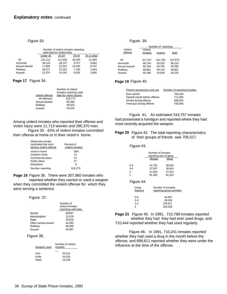#### Figure 33.

| Number of violent inmates reporting<br>valid data for relationship |          |         |        |             |
|--------------------------------------------------------------------|----------|---------|--------|-------------|
|                                                                    | Under 25 | 25-34   | 35-44  | 45 or older |
| All                                                                | 131,113  | 111,635 | 40,240 | 21,394      |
| Homicide                                                           | 38,123   | 28,137  | 9.757  | 6,664       |
| Sexual assault                                                     | 17.605   | 23.312  | 12.445 | 9,197       |
| Robbery                                                            | 48.277   | 37,251  | 7,705  | 1,943       |
| Assault                                                            | 22.375   | 19,162  | 8.616  | 2,895       |

#### **Page 17** Figure 34.

|                 | Number of violent        |
|-----------------|--------------------------|
|                 | inmates reporting valid  |
| Violent offense | data for victim injuries |
| All offenses    | 316.772                  |
| Sexual assault  | 65.355                   |
| Robbery         | 99.323                   |
| Assault         | 54,676                   |

Among violent inmates who reported their offense and victim injury were 11,713 women and 295,370 men.

Figure 35. 42% of violent inmates committed their offense at home or in their victim's home.

| Where the inmate<br>committed the most<br>serious violent offense | Percent of<br>violent inmates |
|-------------------------------------------------------------------|-------------------------------|
| Victim's home                                                     | 28%                           |
| Inmate's home                                                     | 14                            |
| Commercial place                                                  | 23                            |
| Public place                                                      | 27                            |
| Elsewhere                                                         | 8                             |
| Number reporting                                                  | 316.273                       |

Page 18 Figure 36. There were 307,960 inmates who reported whether they carried or used a weapon

when they committed the violent offense for which they were serving a sentence.

Figure 37.

|                      | Number of<br>violent inmates<br>reporting valid data |
|----------------------|------------------------------------------------------|
| Murder               | 69.957                                               |
| Manslaughter         | 12.379                                               |
| Rape                 | 24.029                                               |
| Other sexual assault | 40.395                                               |
| Robbery              | 96.399                                               |
| Assault              | 53.997                                               |

#### Figure 38.

| Weapon used | Number of violent<br>inmates |
|-------------|------------------------------|
| Gun         | 92.314                       |
| Knife       | 34.203                       |
| Other       | 14.229                       |

#### Figure 39.

|                                              | Number of reporting                   |                                       |                                       |
|----------------------------------------------|---------------------------------------|---------------------------------------|---------------------------------------|
| Violent<br>offense                           | Violent<br>inmates                    | Victims                               | Both                                  |
| All<br>Homicide<br>Sexual assault<br>Robbery | 317.417<br>86.154<br>65.148<br>99.861 | 312.792<br>83.323<br>64.745<br>99.110 | 317.675<br>86.210<br>65.285<br>99.861 |
| Assault                                      | 55.188                                | 54.608                                | 55.253                                |

#### **Page 19 Figure 40.**

| Firearm possession and use | Number of reporting inmates |
|----------------------------|-----------------------------|
| Ever owned                 | 708.540                     |
| Owned month before offense | 711.094                     |
| Armed during offense       | 699.943                     |
| Fired gun during offense   | 700,050                     |

Figure 41. An estimated 243,757 inmates had possessed a handgun and reported where they had most recently acquired the weapon.

Page 20 Figure 42. The total reporting characteristics of their groups of friends was 705,517.

Figure 43.

|         | Number of inmates<br>reporting size of gang |        |  |
|---------|---------------------------------------------|--------|--|
|         | Median                                      | Mean   |  |
| 5-6     | 41,791                                      | 38,032 |  |
| $3 - 4$ | 37,587                                      | 36,661 |  |
| 2       | 37,893                                      | 37,631 |  |
| 1       | 81,492                                      | 81,324 |  |

Figure 44.

| Gang<br>features | Number of Inmates<br>reporting group activities |
|------------------|-------------------------------------------------|
| 5-6              | 44.397                                          |
| $3 - 4$          | 39.169                                          |
| $1 - 2$          | 126,611                                         |
| ∩                | 164.539                                         |

**Page 21** Figure 45. In 1991, 710,798 inmates reported whether they had they had ever used drugs, and 710,444 reported whether they had used regularly.

Figure 46. In 1991, 710,241 inmates reported whether they had used a drug in the month before the offense, and 699,611 reported whether they were under the influence at the time of the offense.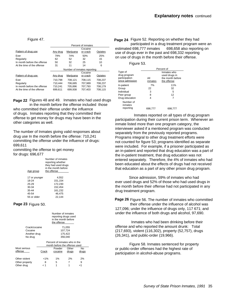#### Figure 47.

|                             | Percent of inmates          |           |          |         |
|-----------------------------|-----------------------------|-----------|----------|---------|
|                             |                             |           | Cocaine  |         |
| Pattern of drug use         | Any drug                    | Marijuana | or crack | Opiates |
| Ever                        | 79%                         | 74%       | 50%      | 25%     |
| Regularly                   | 62                          | 52        | 32       | 15      |
| In month before the offense | 50                          | 32        | 25       | 10      |
| At the time of the offense  | 31                          | 11        | 14       | 6       |
|                             | Number of inmates reporting |           |          |         |
|                             |                             |           | Cocaine  |         |
| Pattern of drug use         | Any drug                    | Marijuana | or crack | Opiates |
| Fver                        | 710.798                     | 708.121   | 708.115  | 708.237 |
| Regularly                   | 710.444                     | 706.685   | 707.989  | 708.237 |
| In month before the offense | 710.241                     | 705.896   | 707.793  | 708,179 |
| At the time of the offense  | 699,611                     | 699,938   | 707,403  | 708,115 |

Page 22 Figures 48 and 49. Inmates who had used drugs in the month before the offense included those

who committed their offense under the influence of drugs. Inmates reporting that they committed their offense to get money for drugs may have been in the other categories as well.

The number of Inmates giving valid responses about drug use In the month before the offense: 710,241 committing the offense under the influence of drugs: 699,611

committing the offense to get money for drugs: 696,677

| Age group     | Number of inmates<br>reporting whether<br>they had used drugs<br>in the month before<br>the offense |
|---------------|-----------------------------------------------------------------------------------------------------|
| 17 or younger | 4.552                                                                                               |
| 18-24         | 151,154                                                                                             |
| 25-29         | 172.230                                                                                             |
| 30-34         | 152.454                                                                                             |
| 35-44         | 161,232                                                                                             |
| 45-54         | 46,475                                                                                              |
| 55 or older   | 22.144                                                                                              |

#### **Page 23 Figure 50.**

|               | Number of inmates<br>reporting drugs used<br>in the month before<br>the offense |
|---------------|---------------------------------------------------------------------------------|
| Crack/cocaine | 71,055                                                                          |
| Cocaine       | 107,724                                                                         |
| Another drug  | 175.422                                                                         |
| No drug       | 356.040                                                                         |
|               | Deseart of inmeter who in the                                                   |

|                | Percent of inmates who in the |                               |       |       |  |
|----------------|-------------------------------|-------------------------------|-------|-------|--|
|                |                               | month before the offense used |       |       |  |
| Most serious   |                               | Powder                        | Other | No    |  |
| offense        | Crack                         | cocaine                       | druas | druas |  |
| Other violent  | $< 1\%$                       | 1%                            | 2%    | 2%    |  |
| Other property | 8                             | 5                             |       | 9     |  |
| Other drug     | 1 ج                           |                               |       | -1    |  |

Page 24 Figure 52. Reporting on whether they had participated in a drug treatment program were an estimated 698,777 inmates - 698,658 also reporting on use of drugs ever in the past and 698,332 reporting on use of drugs in the month before their offense.

| idure : |
|---------|
|---------|

|                      | Percent of |                  |  |  |
|----------------------|------------|------------------|--|--|
| Type of              |            | Inmates who      |  |  |
| drug program         |            | used drugs in    |  |  |
| participation        | All        | the month before |  |  |
| since admission      | inmates    | the offense      |  |  |
| In-patient           | 7%         | 11%              |  |  |
| Group                | 22         | 32               |  |  |
| Individual           | 3          | 5                |  |  |
| Peer group           | 8          | 12               |  |  |
| Drug education       | 4          |                  |  |  |
| Number of<br>inmates |            |                  |  |  |
| reporting            | 698.777    | 698,777          |  |  |

Inmates reported on all types of drug program participation during their current prison term. Whenever an inmate listed more than one program category, the interviewer asked if a mentioned program was conducted separately from the previously reported programs. Programs integral to other drug treatment efforts were not counted for figure 53; programs identified as separate were included. For example, if a prisoner participated as an in-patient and reported that drug education was a part of the in-patient treatment, that drug education was not entered separately. Therefore, the 4% of inmates who had been educated about the effects of drugs had not received that education as a part of any other prison drug program.

Since admission, 59% of inmates who had ever used drugs and 52% of those who had used drugs in the month before their offense had not participated in any drug treatment program.

Page 26 Figure 56. The number of inmates who committed their offense under the influence of alcohol was

127,096; under the influence of drugs only, 117 671; and under the influence of both drugs and alcohol, 97,690.

Inmates who had been drinking before their offense and who reported the amount drunk: Total (217,693), violent (116,302), property (52,757), drugs (26,341), and public-order (19,966).

Figure 58. Inmates sentenced for property or public-order offenses had the highest rate of participation in alcohol-abuse programs.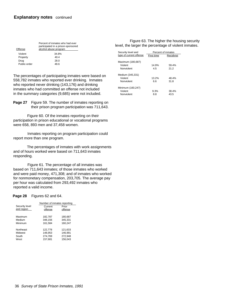| Offense      | Percent of inmates who had ever<br>participated in a prison-sponsored<br>alcohol abuse program |
|--------------|------------------------------------------------------------------------------------------------|
| Violent      | 34.8%                                                                                          |
| Property     | 40.4                                                                                           |
| Drug         | 28.0                                                                                           |
| Public-order | 48.6                                                                                           |

The percentages of participating inmates were based on 558,782 inmates who reported ever drinking. Inmates who reported never drinking (143,176) and drinking inmates who had committed an offense not included in the summary categories (9,685) were not included.

Page 27 Figure 59. The number of inmates reporting on their prison program participation was 711,643.

Figure 60. Of the inmates reporting on their participation in prison educational or vocational programs were 658, 893 men and 37,458 women.

Inmates reporting on program participation could report more than one program.

The percentages of inmates with work assignments and of hours worked were based on 711,643 inmates responding.

Figure 61. The percentage of all inmates was based on 711,643 inmates; of those inmates who worked and were paid money, 471,308; and of inmates who worked for nonmonetary compensation, 203,705. The average pay per hour was calculated from 293,492 inmates who reported a valid income.

#### Page 28 Figures 62 and 64.

|                | Number of inmates reporting |         |  |
|----------------|-----------------------------|---------|--|
| Security level | Current                     | Prior   |  |
| and region     | offense                     | offense |  |
|                |                             |         |  |
| Maximum        | 182,787                     | 180,687 |  |
| Medium         | 348.156                     | 345,331 |  |
| Minimum        | 161,584                     | 160.247 |  |
|                |                             |         |  |
| Northeast      | 122,778                     | 121,633 |  |
| Midwest        | 148,953                     | 146,991 |  |
| South          | 274,769                     | 272,948 |  |
| West           | 157,681                     | 156.043 |  |

| Figure 63. The higher the housing security           |  |  |
|------------------------------------------------------|--|--|
| level, the larger the percentage of violent inmates. |  |  |

| Security level and      | Percent of inmates |            |  |  |
|-------------------------|--------------------|------------|--|--|
| type of current offense | First time         | Recidivist |  |  |
| Maximum (180,687)       |                    |            |  |  |
| Violent                 | 14.9%              | 59.4%      |  |  |
| Nonviolent              | 45                 | 21.2       |  |  |
| Medium (345,331)        |                    |            |  |  |
| Violent                 | 13.2%              | 48.4%      |  |  |
| Nonviolent              | 66                 | 31.8       |  |  |
| Minimum (160,247)       |                    |            |  |  |
| Violent                 | 9.3%               | 38.4%      |  |  |
| Nonviolent              | 8.8                | 43.5       |  |  |